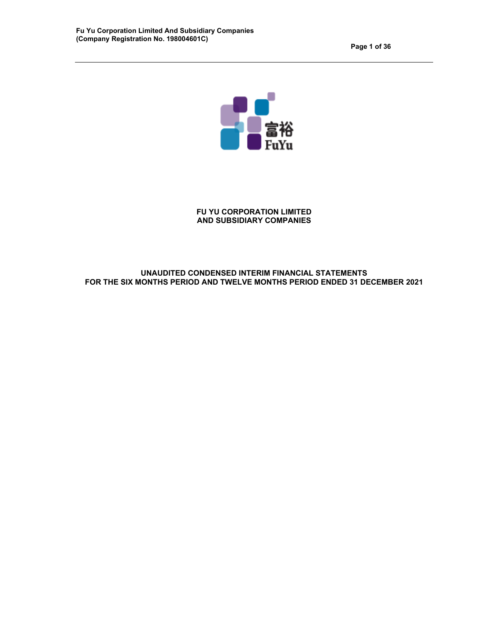

# **FU YU CORPORATION LIMITED AND SUBSIDIARY COMPANIES**

# **UNAUDITED CONDENSED INTERIM FINANCIAL STATEMENTS FOR THE SIX MONTHS PERIOD AND TWELVE MONTHS PERIOD ENDED 31 DECEMBER 2021**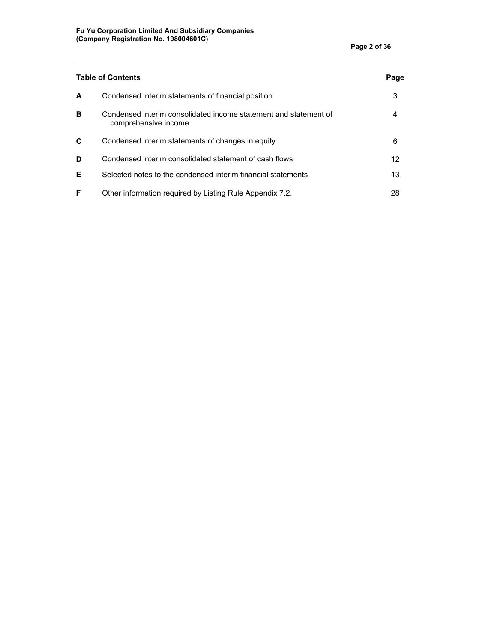|    | <b>Table of Contents</b>                                                                 | Page |
|----|------------------------------------------------------------------------------------------|------|
| A  | Condensed interim statements of financial position                                       | 3    |
| в  | Condensed interim consolidated income statement and statement of<br>comprehensive income | 4    |
| C  | Condensed interim statements of changes in equity                                        | 6    |
| D  | Condensed interim consolidated statement of cash flows                                   | 12   |
| E. | Selected notes to the condensed interim financial statements                             | 13   |
| F. | Other information required by Listing Rule Appendix 7.2.                                 | 28   |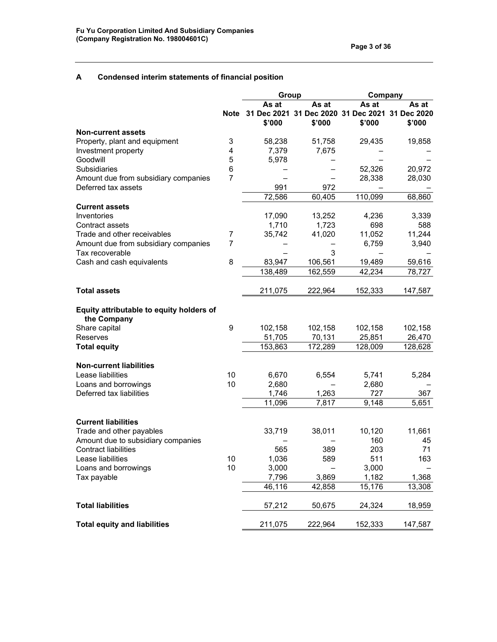# **A Condensed interim statements of financial position**

|                                                                |                | Group                                              |         |               | Company               |  |  |
|----------------------------------------------------------------|----------------|----------------------------------------------------|---------|---------------|-----------------------|--|--|
|                                                                |                | As at                                              | As at   | As at         | As at                 |  |  |
|                                                                |                | Note 31 Dec 2021 31 Dec 2020 31 Dec 2021<br>\$'000 | \$'000  | \$'000        | 31 Dec 2020<br>\$'000 |  |  |
| <b>Non-current assets</b>                                      |                |                                                    |         |               |                       |  |  |
| Property, plant and equipment                                  | 3              | 58,238                                             | 51,758  | 29,435        | 19,858                |  |  |
| Investment property                                            | 4              | 7,379                                              | 7,675   |               |                       |  |  |
| Goodwill                                                       | 5              | 5,978                                              |         |               |                       |  |  |
| Subsidiaries                                                   | 6              |                                                    |         | 52,326        | 20,972                |  |  |
| Amount due from subsidiary companies                           | 7              |                                                    |         | 28,338        | 28,030                |  |  |
| Deferred tax assets                                            |                | 991                                                | 972     |               |                       |  |  |
|                                                                |                | 72,586                                             | 60,405  | 110,099       | 68,860                |  |  |
| <b>Current assets</b>                                          |                |                                                    |         |               |                       |  |  |
| Inventories                                                    |                | 17,090                                             | 13,252  | 4,236         | 3,339                 |  |  |
| Contract assets                                                |                | 1,710                                              | 1,723   | 698           | 588                   |  |  |
| Trade and other receivables                                    | 7              | 35,742                                             | 41,020  | 11,052        | 11,244                |  |  |
| Amount due from subsidiary companies                           | $\overline{7}$ |                                                    |         | 6,759         | 3,940                 |  |  |
| Tax recoverable                                                |                |                                                    | 3       |               |                       |  |  |
| Cash and cash equivalents                                      | 8              | 83,947                                             | 106,561 | 19,489        | 59,616                |  |  |
|                                                                |                | 138,489                                            | 162,559 | 42,234        | 78,727                |  |  |
| <b>Total assets</b>                                            |                | 211,075                                            | 222,964 | 152,333       | 147,587               |  |  |
| Equity attributable to equity holders of                       |                |                                                    |         |               |                       |  |  |
| the Company                                                    |                |                                                    |         |               |                       |  |  |
| Share capital                                                  | 9              | 102,158                                            | 102,158 | 102,158       | 102,158               |  |  |
| Reserves                                                       |                | 51,705                                             | 70,131  | 25,851        | 26,470                |  |  |
| <b>Total equity</b>                                            |                | 153,863                                            | 172,289 | 128,009       | 128,628               |  |  |
| <b>Non-current liabilities</b>                                 |                |                                                    |         |               |                       |  |  |
| Lease liabilities                                              | 10             | 6,670                                              | 6,554   | 5,741         | 5,284                 |  |  |
| Loans and borrowings                                           | 10             | 2,680                                              |         | 2,680         |                       |  |  |
| Deferred tax liabilities                                       |                | 1,746                                              | 1,263   | 727           | 367                   |  |  |
|                                                                |                | 11,096                                             | 7,817   | 9,148         | 5,651                 |  |  |
|                                                                |                |                                                    |         |               |                       |  |  |
| <b>Current liabilities</b>                                     |                |                                                    |         |               |                       |  |  |
| Trade and other payables<br>Amount due to subsidiary companies |                | 33,719                                             | 38,011  | 10,120<br>160 | 11,661<br>45          |  |  |
| <b>Contract liabilities</b>                                    |                | 565                                                | 389     | 203           | 71                    |  |  |
| Lease liabilities                                              | 10             | 1,036                                              | 589     | 511           | 163                   |  |  |
| Loans and borrowings                                           | 10             | 3,000                                              |         | 3,000         |                       |  |  |
| Tax payable                                                    |                | 7,796                                              | 3,869   | 1,182         | 1,368                 |  |  |
|                                                                |                | 46,116                                             | 42,858  | 15,176        | 13,308                |  |  |
|                                                                |                |                                                    |         |               |                       |  |  |
| <b>Total liabilities</b>                                       |                | 57,212                                             | 50,675  | 24,324        | 18,959                |  |  |
| <b>Total equity and liabilities</b>                            |                | 211,075                                            | 222,964 | 152,333       | 147,587               |  |  |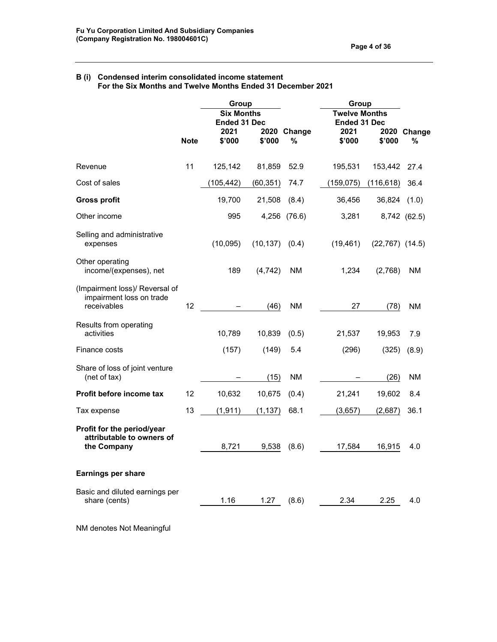#### **B (i) Condensed interim consolidated income statement For the Six Months and Twelve Months Ended 31 December 2021**

|                                                                           |             | Group<br><b>Six Months</b> |           |                  | Group<br><b>Twelve Months</b> |                     |                  |  |
|---------------------------------------------------------------------------|-------------|----------------------------|-----------|------------------|-------------------------------|---------------------|------------------|--|
|                                                                           |             | <b>Ended 31 Dec</b>        |           |                  |                               | <b>Ended 31 Dec</b> |                  |  |
|                                                                           | <b>Note</b> | 2021<br>\$'000             | \$'000    | 2020 Change<br>% | 2021<br>\$'000                | \$'000              | 2020 Change<br>% |  |
|                                                                           |             |                            |           |                  |                               |                     |                  |  |
| Revenue                                                                   | 11          | 125,142                    | 81,859    | 52.9             | 195,531                       | 153,442             | 27.4             |  |
| Cost of sales                                                             |             | (105, 442)                 | (60, 351) | 74.7             | (159, 075)                    | (116, 618)          | 36.4             |  |
| <b>Gross profit</b>                                                       |             | 19,700                     | 21,508    | (8.4)            | 36,456                        | 36,824              | (1.0)            |  |
| Other income                                                              |             | 995                        |           | 4,256 (76.6)     | 3,281                         |                     | 8,742 (62.5)     |  |
| Selling and administrative<br>expenses                                    |             | (10,095)                   | (10, 137) | (0.4)            | (19, 461)                     | $(22,767)$ $(14.5)$ |                  |  |
| Other operating<br>income/(expenses), net                                 |             | 189                        | (4, 742)  | NM.              | 1,234                         | (2,768)             | NM               |  |
| (Impairment loss)/ Reversal of<br>impairment loss on trade<br>receivables | 12          |                            | (46)      | <b>NM</b>        | 27                            | (78)                | NΜ               |  |
| Results from operating<br>activities                                      |             | 10,789                     | 10,839    | (0.5)            | 21,537                        | 19,953              | 7.9              |  |
| Finance costs                                                             |             | (157)                      | (149)     | 5.4              | (296)                         | (325)               | (8.9)            |  |
| Share of loss of joint venture<br>(net of tax)                            |             |                            | (15)      | ΝM               |                               | (26)                | ΝM               |  |
| Profit before income tax                                                  | 12          | 10,632                     | 10,675    | (0.4)            | 21,241                        | 19,602              | 8.4              |  |
| Tax expense                                                               | 13          | (1, 911)                   | (1, 137)  | 68.1             | (3,657)                       | (2,687)             | 36.1             |  |
| Profit for the period/year<br>attributable to owners of<br>the Company    |             | 8,721                      | 9,538     | (8.6)            | 17,584                        | 16,915              | 4.0              |  |
| <b>Earnings per share</b>                                                 |             |                            |           |                  |                               |                     |                  |  |
| Basic and diluted earnings per<br>share (cents)                           |             | 1.16                       | 1.27      | (8.6)            | 2.34                          | 2.25                | 4.0              |  |

NM denotes Not Meaningful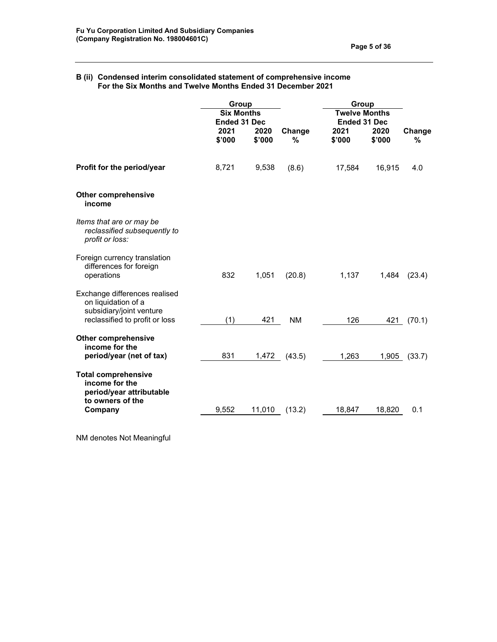#### **B (ii) Condensed interim consolidated statement of comprehensive income For the Six Months and Twelve Months Ended 31 December 2021**

|                                                                                              | Group                                    |                |             | Group                                       |                |             |
|----------------------------------------------------------------------------------------------|------------------------------------------|----------------|-------------|---------------------------------------------|----------------|-------------|
|                                                                                              | <b>Six Months</b><br><b>Ended 31 Dec</b> |                |             | <b>Twelve Months</b><br><b>Ended 31 Dec</b> |                |             |
|                                                                                              | 2021<br>\$'000                           | 2020<br>\$'000 | Change<br>% | 2021<br>\$'000                              | 2020<br>\$'000 | Change<br>% |
| Profit for the period/year                                                                   | 8,721                                    | 9,538          | (8.6)       | 17,584                                      | 16,915         | 4.0         |
| <b>Other comprehensive</b><br>income                                                         |                                          |                |             |                                             |                |             |
| Items that are or may be<br>reclassified subsequently to<br>profit or loss:                  |                                          |                |             |                                             |                |             |
| Foreign currency translation<br>differences for foreign<br>operations                        | 832                                      | 1,051          | (20.8)      | 1,137                                       | 1,484          | (23.4)      |
| Exchange differences realised<br>on liquidation of a<br>subsidiary/joint venture             |                                          |                |             |                                             |                |             |
| reclassified to profit or loss                                                               | (1)                                      | 421            | <b>NM</b>   | 126                                         | 421            | (70.1)      |
| <b>Other comprehensive</b><br>income for the                                                 |                                          |                |             |                                             |                |             |
| period/year (net of tax)                                                                     | 831                                      | 1,472          | (43.5)      | 1,263                                       | 1,905          | (33.7)      |
| <b>Total comprehensive</b><br>income for the<br>period/year attributable<br>to owners of the |                                          |                |             |                                             |                |             |
| Company                                                                                      | 9,552                                    | 11,010         | (13.2)      | 18,847                                      | 18,820         | 0.1         |

NM denotes Not Meaningful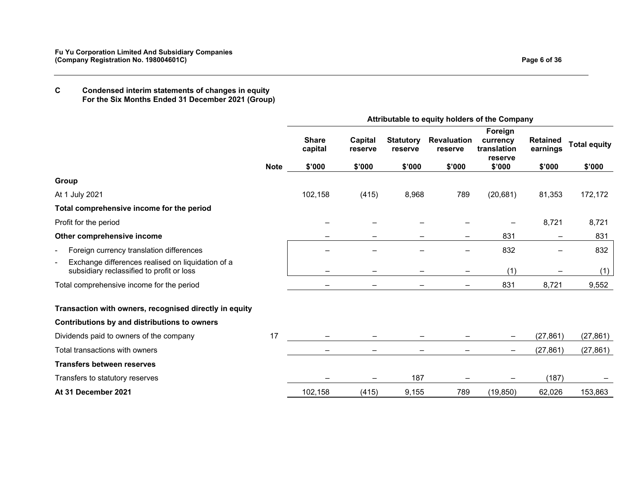## **C Condensed interim statements of changes in equity For the Six Months Ended 31 December 2021 (Group)**

|                                                                                                                  |             | Attributable to equity holders of the Company |                              |                                       |                                         |                                                         |                                       |                               |  |
|------------------------------------------------------------------------------------------------------------------|-------------|-----------------------------------------------|------------------------------|---------------------------------------|-----------------------------------------|---------------------------------------------------------|---------------------------------------|-------------------------------|--|
|                                                                                                                  | <b>Note</b> | <b>Share</b><br>capital<br>\$'000             | Capital<br>reserve<br>\$'000 | <b>Statutory</b><br>reserve<br>\$'000 | <b>Revaluation</b><br>reserve<br>\$'000 | Foreign<br>currency<br>translation<br>reserve<br>\$'000 | <b>Retained</b><br>earnings<br>\$'000 | <b>Total equity</b><br>\$'000 |  |
| Group                                                                                                            |             |                                               |                              |                                       |                                         |                                                         |                                       |                               |  |
| At 1 July 2021                                                                                                   |             | 102,158                                       | (415)                        | 8,968                                 | 789                                     | (20, 681)                                               | 81,353                                | 172,172                       |  |
| Total comprehensive income for the period                                                                        |             |                                               |                              |                                       |                                         |                                                         |                                       |                               |  |
| Profit for the period                                                                                            |             |                                               |                              |                                       |                                         |                                                         | 8,721                                 | 8,721                         |  |
| Other comprehensive income                                                                                       |             |                                               |                              |                                       |                                         | 831                                                     | -                                     | 831                           |  |
| Foreign currency translation differences                                                                         |             |                                               |                              |                                       |                                         | 832                                                     |                                       | 832                           |  |
| Exchange differences realised on liquidation of a<br>$\blacksquare$<br>subsidiary reclassified to profit or loss |             |                                               |                              |                                       |                                         | (1)                                                     |                                       | (1)                           |  |
| Total comprehensive income for the period                                                                        |             |                                               |                              |                                       | $\overline{\phantom{m}}$                | 831                                                     | 8,721                                 | 9,552                         |  |
| Transaction with owners, recognised directly in equity                                                           |             |                                               |                              |                                       |                                         |                                                         |                                       |                               |  |
| Contributions by and distributions to owners                                                                     |             |                                               |                              |                                       |                                         |                                                         |                                       |                               |  |
| Dividends paid to owners of the company                                                                          | 17          |                                               |                              |                                       |                                         |                                                         | (27, 861)                             | (27, 861)                     |  |
| Total transactions with owners                                                                                   |             | -                                             |                              |                                       |                                         |                                                         | (27, 861)                             | (27, 861)                     |  |
| <b>Transfers between reserves</b>                                                                                |             |                                               |                              |                                       |                                         |                                                         |                                       |                               |  |
| Transfers to statutory reserves                                                                                  |             |                                               |                              | 187                                   |                                         |                                                         | (187)                                 |                               |  |
| At 31 December 2021                                                                                              |             | 102,158                                       | (415)                        | 9,155                                 | 789                                     | (19, 850)                                               | 62,026                                | 153,863                       |  |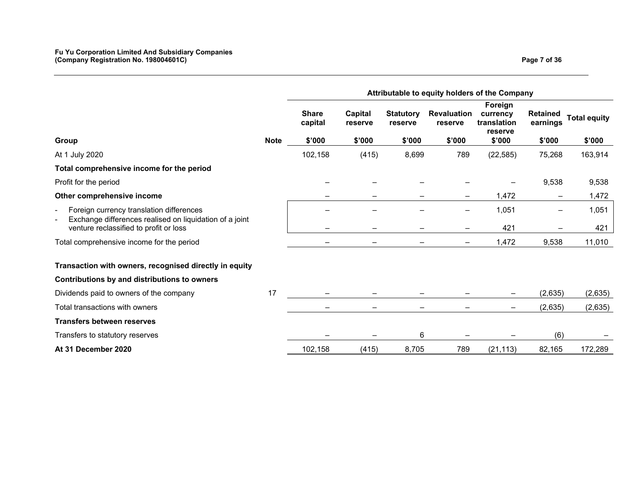|                                                                                                          | Attributable to equity holders of the Company |                                   |                              |                                       |                                         |                                                         |                                       |                               |
|----------------------------------------------------------------------------------------------------------|-----------------------------------------------|-----------------------------------|------------------------------|---------------------------------------|-----------------------------------------|---------------------------------------------------------|---------------------------------------|-------------------------------|
| Group                                                                                                    | <b>Note</b>                                   | <b>Share</b><br>capital<br>\$'000 | Capital<br>reserve<br>\$'000 | <b>Statutory</b><br>reserve<br>\$'000 | <b>Revaluation</b><br>reserve<br>\$'000 | Foreign<br>currency<br>translation<br>reserve<br>\$'000 | <b>Retained</b><br>earnings<br>\$'000 | <b>Total equity</b><br>\$'000 |
| At 1 July 2020                                                                                           |                                               | 102,158                           | (415)                        | 8,699                                 | 789                                     | (22, 585)                                               | 75,268                                | 163,914                       |
| Total comprehensive income for the period                                                                |                                               |                                   |                              |                                       |                                         |                                                         |                                       |                               |
| Profit for the period                                                                                    |                                               |                                   |                              |                                       |                                         |                                                         | 9,538                                 | 9,538                         |
| Other comprehensive income                                                                               |                                               |                                   |                              |                                       | —                                       | 1,472                                                   | $\overline{\phantom{m}}$              | 1,472                         |
| Foreign currency translation differences<br>-<br>Exchange differences realised on liquidation of a joint |                                               |                                   |                              |                                       |                                         | 1,051                                                   |                                       | 1,051                         |
| venture reclassified to profit or loss                                                                   |                                               |                                   |                              |                                       |                                         | 421                                                     |                                       | 421                           |
| Total comprehensive income for the period                                                                |                                               |                                   |                              |                                       |                                         | 1,472                                                   | 9,538                                 | 11,010                        |
| Transaction with owners, recognised directly in equity                                                   |                                               |                                   |                              |                                       |                                         |                                                         |                                       |                               |
| Contributions by and distributions to owners                                                             |                                               |                                   |                              |                                       |                                         |                                                         |                                       |                               |
| Dividends paid to owners of the company                                                                  | 17                                            |                                   |                              |                                       |                                         |                                                         | (2,635)                               | (2,635)                       |
| Total transactions with owners                                                                           |                                               |                                   |                              |                                       |                                         |                                                         | (2,635)                               | (2,635)                       |
| <b>Transfers between reserves</b>                                                                        |                                               |                                   |                              |                                       |                                         |                                                         |                                       |                               |
| Transfers to statutory reserves                                                                          |                                               |                                   |                              | 6                                     |                                         |                                                         | (6)                                   |                               |
| At 31 December 2020                                                                                      |                                               | 102,158                           | (415)                        | 8,705                                 | 789                                     | (21, 113)                                               | 82,165                                | 172,289                       |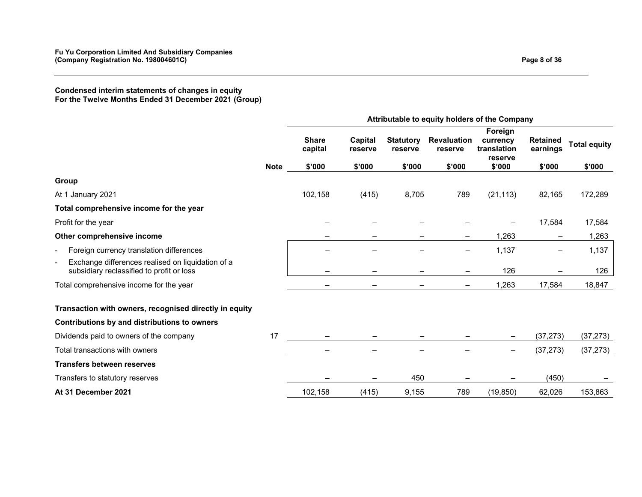**Condensed interim statements of changes in equity For the Twelve Months Ended 31 December 2021 (Group)** 

|                                                                                                                  | Attributable to equity holders of the Company |                                   |                              |                                       |                                         |                                                         |                                       |                               |
|------------------------------------------------------------------------------------------------------------------|-----------------------------------------------|-----------------------------------|------------------------------|---------------------------------------|-----------------------------------------|---------------------------------------------------------|---------------------------------------|-------------------------------|
|                                                                                                                  | <b>Note</b>                                   | <b>Share</b><br>capital<br>\$'000 | Capital<br>reserve<br>\$'000 | <b>Statutory</b><br>reserve<br>\$'000 | <b>Revaluation</b><br>reserve<br>\$'000 | Foreign<br>currency<br>translation<br>reserve<br>\$'000 | <b>Retained</b><br>earnings<br>\$'000 | <b>Total equity</b><br>\$'000 |
| Group                                                                                                            |                                               |                                   |                              |                                       |                                         |                                                         |                                       |                               |
| At 1 January 2021                                                                                                |                                               | 102,158                           | (415)                        | 8,705                                 | 789                                     | (21, 113)                                               | 82,165                                | 172,289                       |
| Total comprehensive income for the year                                                                          |                                               |                                   |                              |                                       |                                         |                                                         |                                       |                               |
| Profit for the year                                                                                              |                                               |                                   |                              |                                       |                                         |                                                         | 17,584                                | 17,584                        |
| Other comprehensive income                                                                                       |                                               |                                   |                              |                                       |                                         | 1,263                                                   | -                                     | 1,263                         |
| Foreign currency translation differences                                                                         |                                               |                                   |                              |                                       |                                         | 1,137                                                   |                                       | 1,137                         |
| Exchange differences realised on liquidation of a<br>$\blacksquare$<br>subsidiary reclassified to profit or loss |                                               |                                   |                              |                                       |                                         | 126                                                     |                                       | 126                           |
| Total comprehensive income for the year                                                                          |                                               |                                   |                              |                                       | $\qquad \qquad \blacksquare$            | 1,263                                                   | 17,584                                | 18,847                        |
| Transaction with owners, recognised directly in equity                                                           |                                               |                                   |                              |                                       |                                         |                                                         |                                       |                               |
| Contributions by and distributions to owners                                                                     |                                               |                                   |                              |                                       |                                         |                                                         |                                       |                               |
| Dividends paid to owners of the company                                                                          | 17                                            |                                   |                              |                                       |                                         |                                                         | (37, 273)                             | (37, 273)                     |
| Total transactions with owners                                                                                   |                                               | -                                 |                              |                                       |                                         |                                                         | (37, 273)                             | (37, 273)                     |
| <b>Transfers between reserves</b>                                                                                |                                               |                                   |                              |                                       |                                         |                                                         |                                       |                               |
| Transfers to statutory reserves                                                                                  |                                               |                                   |                              | 450                                   |                                         |                                                         | (450)                                 |                               |
| At 31 December 2021                                                                                              |                                               | 102,158                           | (415)                        | 9,155                                 | 789                                     | (19, 850)                                               | 62,026                                | 153,863                       |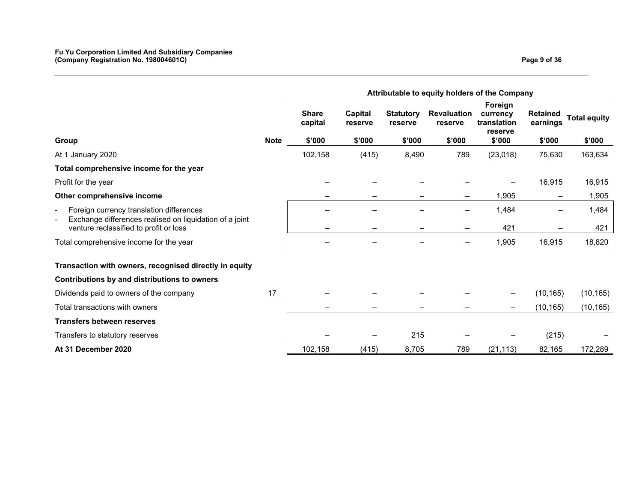|                                                                                                          | Attributable to equity holders of the Company |                                   |                              |                                       |                                         |                                                         |                                       |                               |
|----------------------------------------------------------------------------------------------------------|-----------------------------------------------|-----------------------------------|------------------------------|---------------------------------------|-----------------------------------------|---------------------------------------------------------|---------------------------------------|-------------------------------|
| Group                                                                                                    | <b>Note</b>                                   | <b>Share</b><br>capital<br>\$'000 | Capital<br>reserve<br>\$'000 | <b>Statutory</b><br>reserve<br>\$'000 | <b>Revaluation</b><br>reserve<br>\$'000 | Foreign<br>currency<br>translation<br>reserve<br>\$'000 | <b>Retained</b><br>earnings<br>\$'000 | <b>Total equity</b><br>\$'000 |
| At 1 January 2020                                                                                        |                                               | 102,158                           | (415)                        | 8,490                                 | 789                                     | (23,018)                                                | 75,630                                | 163,634                       |
| Total comprehensive income for the year                                                                  |                                               |                                   |                              |                                       |                                         |                                                         |                                       |                               |
| Profit for the year                                                                                      |                                               |                                   |                              |                                       |                                         |                                                         | 16,915                                | 16,915                        |
| Other comprehensive income                                                                               |                                               |                                   |                              |                                       | —                                       | 1,905                                                   | $\qquad \qquad -$                     | 1,905                         |
| Foreign currency translation differences<br>-<br>Exchange differences realised on liquidation of a joint |                                               |                                   |                              |                                       |                                         | 1,484                                                   |                                       | 1,484                         |
| venture reclassified to profit or loss                                                                   |                                               | -                                 |                              |                                       |                                         | 421                                                     |                                       | 421                           |
| Total comprehensive income for the year                                                                  |                                               |                                   |                              |                                       |                                         | 1,905                                                   | 16,915                                | 18,820                        |
| Transaction with owners, recognised directly in equity                                                   |                                               |                                   |                              |                                       |                                         |                                                         |                                       |                               |
| Contributions by and distributions to owners                                                             |                                               |                                   |                              |                                       |                                         |                                                         |                                       |                               |
| Dividends paid to owners of the company                                                                  | 17                                            |                                   |                              |                                       |                                         |                                                         | (10, 165)                             | (10, 165)                     |
| Total transactions with owners                                                                           |                                               | -                                 |                              |                                       |                                         | —                                                       | (10, 165)                             | (10, 165)                     |
| <b>Transfers between reserves</b>                                                                        |                                               |                                   |                              |                                       |                                         |                                                         |                                       |                               |
| Transfers to statutory reserves                                                                          |                                               |                                   |                              | 215                                   |                                         |                                                         | (215)                                 |                               |
| At 31 December 2020                                                                                      |                                               | 102,158                           | (415)                        | 8,705                                 | 789                                     | (21, 113)                                               | 82,165                                | 172,289                       |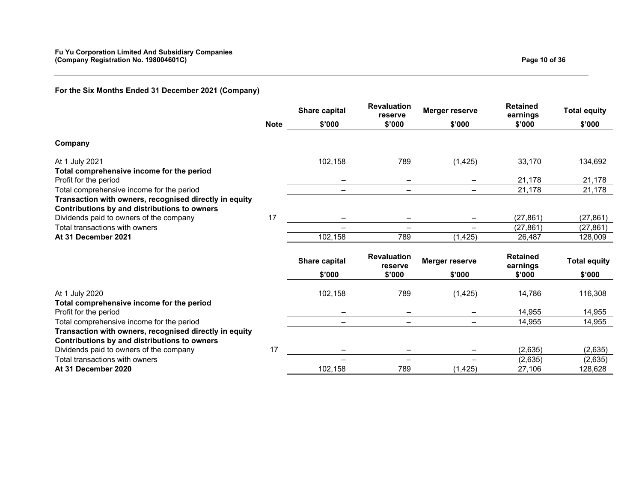|                                                                                                        |             | Share capital | <b>Revaluation</b><br>reserve | Merger reserve    | <b>Retained</b><br>earnings | <b>Total equity</b> |
|--------------------------------------------------------------------------------------------------------|-------------|---------------|-------------------------------|-------------------|-----------------------------|---------------------|
|                                                                                                        | <b>Note</b> | \$'000        | \$'000                        | \$'000            | \$'000                      | \$'000              |
| Company                                                                                                |             |               |                               |                   |                             |                     |
| At 1 July 2021<br>Total comprehensive income for the period                                            |             | 102,158       | 789                           | (1, 425)          | 33,170                      | 134,692             |
| Profit for the period                                                                                  |             |               | $\overline{\phantom{m}}$      | —                 | 21,178                      | 21,178              |
| Total comprehensive income for the period                                                              |             |               | $\overline{\phantom{0}}$      |                   | 21,178                      | 21,178              |
| Transaction with owners, recognised directly in equity<br>Contributions by and distributions to owners |             |               |                               |                   |                             |                     |
| Dividends paid to owners of the company                                                                | 17          |               |                               | —                 | (27, 861)                   | (27, 861)           |
| Total transactions with owners                                                                         |             |               |                               |                   | (27, 861)                   | (27, 861)           |
| At 31 December 2021                                                                                    |             | 102,158       | 789                           | (1, 425)          | 26,487                      | 128,009             |
|                                                                                                        |             | Share capital | <b>Revaluation</b><br>reserve | Merger reserve    | <b>Retained</b><br>earnings | <b>Total equity</b> |
|                                                                                                        |             | \$'000        | \$'000                        | \$'000            | \$'000                      | \$'000              |
| At 1 July 2020<br>Total comprehensive income for the period                                            |             | 102,158       | 789                           | (1, 425)          | 14,786                      | 116,308             |
| Profit for the period                                                                                  |             |               |                               |                   | 14,955                      | 14,955              |
| Total comprehensive income for the period                                                              |             |               | $\overline{\phantom{0}}$      |                   | 14,955                      | 14,955              |
| Transaction with owners, recognised directly in equity<br>Contributions by and distributions to owners |             |               |                               |                   |                             |                     |
| Dividends paid to owners of the company                                                                | 17          |               |                               | -                 | (2,635)                     | (2,635)             |
| Total transactions with owners                                                                         |             |               | $\qquad \qquad -$             | $\qquad \qquad -$ | (2,635)                     | (2,635)             |
| At 31 December 2020                                                                                    |             | 102,158       | 789                           | (1, 425)          | 27,106                      | 128,628             |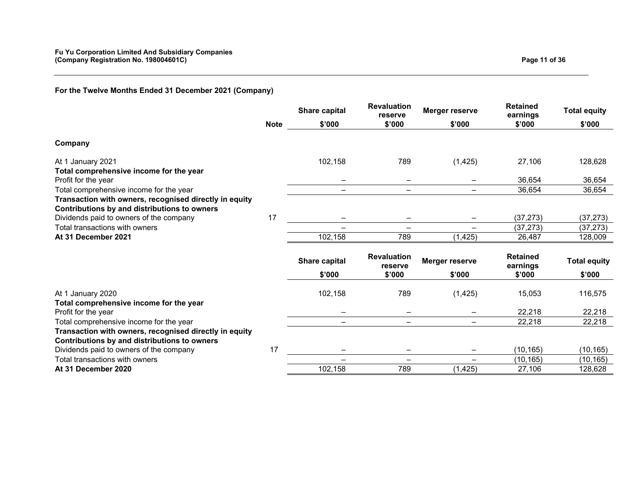# **For the Twelve Months Ended 31 December 2021 (Company)**

|                                                                                                        |             | <b>Share capital</b> | <b>Revaluation</b><br>reserve | Merger reserve           | <b>Retained</b><br>earnings | <b>Total equity</b> |
|--------------------------------------------------------------------------------------------------------|-------------|----------------------|-------------------------------|--------------------------|-----------------------------|---------------------|
|                                                                                                        | <b>Note</b> | \$'000               | \$'000                        | \$'000                   | \$'000                      | \$'000              |
| Company                                                                                                |             |                      |                               |                          |                             |                     |
| At 1 January 2021<br>Total comprehensive income for the year                                           |             | 102,158              | 789                           | (1, 425)                 | 27,106                      | 128,628             |
| Profit for the year                                                                                    |             |                      |                               |                          | 36,654                      | 36,654              |
| Total comprehensive income for the year                                                                |             |                      |                               |                          | 36,654                      | 36,654              |
| Transaction with owners, recognised directly in equity<br>Contributions by and distributions to owners |             |                      |                               |                          |                             |                     |
| Dividends paid to owners of the company                                                                | 17          |                      |                               |                          | (37, 273)                   | (37, 273)           |
| Total transactions with owners                                                                         |             |                      |                               | $\overline{\phantom{m}}$ | (37, 273)                   | (37, 273)           |
| At 31 December 2021                                                                                    |             | 102,158              | 789                           | (1, 425)                 | 26,487                      | 128,009             |
|                                                                                                        |             | <b>Share capital</b> | <b>Revaluation</b><br>reserve | Merger reserve           | <b>Retained</b><br>earnings | <b>Total equity</b> |
|                                                                                                        |             | \$'000               | \$'000                        | \$'000                   | \$'000                      | \$'000              |
| At 1 January 2020<br>Total comprehensive income for the year                                           |             | 102,158              | 789                           | (1, 425)                 | 15,053                      | 116,575             |
| Profit for the year                                                                                    |             |                      |                               |                          | 22,218                      | 22,218              |
| Total comprehensive income for the year                                                                |             |                      |                               |                          | 22,218                      | 22,218              |
| Transaction with owners, recognised directly in equity<br>Contributions by and distributions to owners |             |                      |                               |                          |                             |                     |
| Dividends paid to owners of the company                                                                | 17          |                      | $\qquad \qquad -$             | $\overline{\phantom{m}}$ | (10, 165)                   | (10, 165)           |
| Total transactions with owners                                                                         |             |                      |                               | $\overline{\phantom{m}}$ | (10, 165)                   | (10, 165)           |
| At 31 December 2020                                                                                    |             | 102,158              | 789                           | (1, 425)                 | 27,106                      | 128,628             |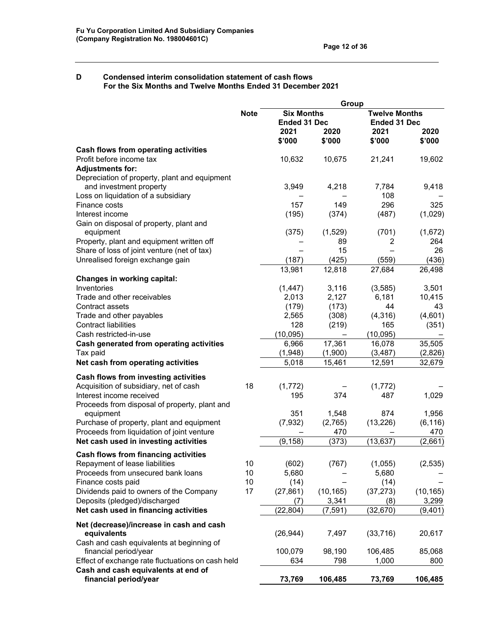#### **D Condensed interim consolidation statement of cash flows For the Six Months and Twelve Months Ended 31 December 2021**

|                                                                          |             | Group               |                  |                      |                |  |  |
|--------------------------------------------------------------------------|-------------|---------------------|------------------|----------------------|----------------|--|--|
|                                                                          | <b>Note</b> | <b>Six Months</b>   |                  | <b>Twelve Months</b> |                |  |  |
|                                                                          |             | <b>Ended 31 Dec</b> |                  | <b>Ended 31 Dec</b>  |                |  |  |
|                                                                          |             | 2021                | 2020             | 2021                 | 2020           |  |  |
|                                                                          |             | \$'000              | \$'000           | \$'000               | \$'000         |  |  |
| Cash flows from operating activities                                     |             |                     |                  |                      |                |  |  |
| Profit before income tax                                                 |             | 10,632              | 10,675           | 21,241               | 19,602         |  |  |
| <b>Adjustments for:</b>                                                  |             |                     |                  |                      |                |  |  |
| Depreciation of property, plant and equipment<br>and investment property |             | 3,949               | 4,218            | 7,784                | 9,418          |  |  |
| Loss on liquidation of a subsidiary                                      |             |                     |                  | 108                  |                |  |  |
| Finance costs                                                            |             | 157                 | 149              | 296                  | 325            |  |  |
| Interest income                                                          |             | (195)               | (374)            | (487)                | (1,029)        |  |  |
| Gain on disposal of property, plant and                                  |             |                     |                  |                      |                |  |  |
| equipment                                                                |             | (375)               | (1,529)          | (701)                | (1,672)        |  |  |
| Property, plant and equipment written off                                |             |                     | 89               | 2                    | 264            |  |  |
| Share of loss of joint venture (net of tax)                              |             |                     | 15               |                      | 26             |  |  |
| Unrealised foreign exchange gain                                         |             | (187)               | (425)            | (559)                | (436)          |  |  |
|                                                                          |             | 13,981              | 12,818           | 27,684               | 26,498         |  |  |
| <b>Changes in working capital:</b>                                       |             |                     |                  |                      |                |  |  |
| Inventories                                                              |             | (1, 447)            | 3,116            | (3, 585)             | 3,501          |  |  |
| Trade and other receivables                                              |             | 2,013               | 2,127            | 6,181                | 10,415         |  |  |
| Contract assets                                                          |             | (179)               | (173)            | 44                   | 43             |  |  |
| Trade and other payables                                                 |             | 2,565               | (308)            | (4,316)              | (4,601)        |  |  |
| <b>Contract liabilities</b>                                              |             | 128                 | (219)            | 165                  | (351)          |  |  |
| Cash restricted-in-use                                                   |             | (10,095)            |                  | (10, 095)            |                |  |  |
| Cash generated from operating activities                                 |             | 6,966               | 17,361           | 16,078               | 35,505         |  |  |
| Tax paid                                                                 |             | (1,948)             | (1,900)          | (3, 487)             | (2,826)        |  |  |
| Net cash from operating activities                                       |             | 5,018               | 15,461           | 12,591               | 32,679         |  |  |
|                                                                          |             |                     |                  |                      |                |  |  |
| Cash flows from investing activities                                     |             |                     |                  |                      |                |  |  |
| Acquisition of subsidiary, net of cash<br>Interest income received       | 18          | (1, 772)<br>195     |                  | (1, 772)<br>487      |                |  |  |
|                                                                          |             |                     | 374              |                      | 1,029          |  |  |
| Proceeds from disposal of property, plant and<br>equipment               |             | 351                 |                  | 874                  | 1,956          |  |  |
| Purchase of property, plant and equipment                                |             | (7, 932)            | 1,548<br>(2,765) | (13, 226)            | (6, 116)       |  |  |
| Proceeds from liquidation of joint venture                               |             |                     | 470              |                      |                |  |  |
| Net cash used in investing activities                                    |             | (9, 158)            | (373)            | (13, 637)            | 470<br>(2,661) |  |  |
|                                                                          |             |                     |                  |                      |                |  |  |
| <b>Cash flows from financing activities</b>                              |             |                     |                  |                      |                |  |  |
| Repayment of lease liabilities                                           | 10          | (602)               | (767)            | (1,055)              | (2,535)        |  |  |
| Proceeds from unsecured bank loans                                       | 10          | 5,680               |                  | 5,680                |                |  |  |
| Finance costs paid                                                       | 10          | (14)                |                  | (14)                 |                |  |  |
| Dividends paid to owners of the Company                                  | 17          | (27, 861)           | (10, 165)        | (37, 273)            | (10, 165)      |  |  |
| Deposits (pledged)/discharged                                            |             | (7)                 | 3,341            | (8)                  | 3,299          |  |  |
| Net cash used in financing activities                                    |             | (22, 804)           | (7, 591)         | (32, 670)            | (9,401)        |  |  |
| Net (decrease)/increase in cash and cash                                 |             |                     |                  |                      |                |  |  |
| equivalents                                                              |             | (26, 944)           | 7,497            | (33, 716)            | 20,617         |  |  |
| Cash and cash equivalents at beginning of                                |             |                     |                  |                      |                |  |  |
| financial period/year                                                    |             | 100,079             | 98,190           | 106,485              | 85,068         |  |  |
| Effect of exchange rate fluctuations on cash held                        |             | 634                 | 798              | 1,000                | 800            |  |  |
| Cash and cash equivalents at end of                                      |             |                     |                  |                      |                |  |  |
| financial period/year                                                    |             | 73,769              | 106,485          | 73,769               | 106,485        |  |  |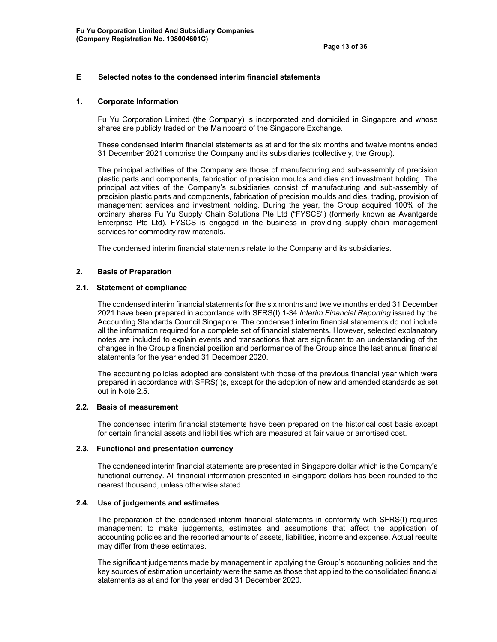## **E Selected notes to the condensed interim financial statements**

#### **1. Corporate Information**

Fu Yu Corporation Limited (the Company) is incorporated and domiciled in Singapore and whose shares are publicly traded on the Mainboard of the Singapore Exchange.

These condensed interim financial statements as at and for the six months and twelve months ended 31 December 2021 comprise the Company and its subsidiaries (collectively, the Group).

 The principal activities of the Company are those of manufacturing and sub-assembly of precision plastic parts and components, fabrication of precision moulds and dies and investment holding. The principal activities of the Company's subsidiaries consist of manufacturing and sub-assembly of precision plastic parts and components, fabrication of precision moulds and dies, trading, provision of management services and investment holding. During the year, the Group acquired 100% of the ordinary shares Fu Yu Supply Chain Solutions Pte Ltd ("FYSCS") (formerly known as Avantgarde Enterprise Pte Ltd). FYSCS is engaged in the business in providing supply chain management services for commodity raw materials.

The condensed interim financial statements relate to the Company and its subsidiaries.

#### **2. Basis of Preparation**

#### **2.1. Statement of compliance**

The condensed interim financial statements for the six months and twelve months ended 31 December 2021 have been prepared in accordance with SFRS(I) 1-34 *Interim Financial Reporting* issued by the Accounting Standards Council Singapore. The condensed interim financial statements do not include all the information required for a complete set of financial statements. However, selected explanatory notes are included to explain events and transactions that are significant to an understanding of the changes in the Group's financial position and performance of the Group since the last annual financial statements for the year ended 31 December 2020.

The accounting policies adopted are consistent with those of the previous financial year which were prepared in accordance with SFRS(I)s, except for the adoption of new and amended standards as set out in Note 2.5.

## **2.2. Basis of measurement**

The condensed interim financial statements have been prepared on the historical cost basis except for certain financial assets and liabilities which are measured at fair value or amortised cost.

#### **2.3. Functional and presentation currency**

The condensed interim financial statements are presented in Singapore dollar which is the Company's functional currency. All financial information presented in Singapore dollars has been rounded to the nearest thousand, unless otherwise stated.

#### **2.4. Use of judgements and estimates**

The preparation of the condensed interim financial statements in conformity with SFRS(I) requires management to make judgements, estimates and assumptions that affect the application of accounting policies and the reported amounts of assets, liabilities, income and expense. Actual results may differ from these estimates.

The significant judgements made by management in applying the Group's accounting policies and the key sources of estimation uncertainty were the same as those that applied to the consolidated financial statements as at and for the year ended 31 December 2020.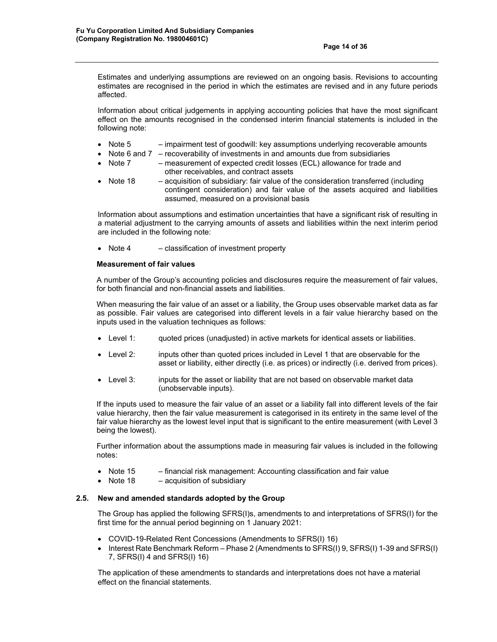Estimates and underlying assumptions are reviewed on an ongoing basis. Revisions to accounting estimates are recognised in the period in which the estimates are revised and in any future periods affected.

Information about critical judgements in applying accounting policies that have the most significant effect on the amounts recognised in the condensed interim financial statements is included in the following note:

- Note  $5$  impairment test of goodwill: key assumptions underlying recoverable amounts
- Note 6 and 7 recoverability of investments in and amounts due from subsidiaries
- Note 7 measurement of expected credit losses (ECL) allowance for trade and other receivables, and contract assets
- Note  $18 -$  exquisition of subsidiary: fair value of the consideration transferred (including contingent consideration) and fair value of the assets acquired and liabilities assumed, measured on a provisional basis

Information about assumptions and estimation uncertainties that have a significant risk of resulting in a material adjustment to the carrying amounts of assets and liabilities within the next interim period are included in the following note:

• Note 4 – classification of investment property

#### **Measurement of fair values**

A number of the Group's accounting policies and disclosures require the measurement of fair values, for both financial and non-financial assets and liabilities.

When measuring the fair value of an asset or a liability, the Group uses observable market data as far as possible. Fair values are categorised into different levels in a fair value hierarchy based on the inputs used in the valuation techniques as follows:

- Level 1: quoted prices (unadjusted) in active markets for identical assets or liabilities.
- Level 2: inputs other than quoted prices included in Level 1 that are observable for the asset or liability, either directly (i.e. as prices) or indirectly (i.e. derived from prices).
- Level 3: inputs for the asset or liability that are not based on observable market data (unobservable inputs).

If the inputs used to measure the fair value of an asset or a liability fall into different levels of the fair value hierarchy, then the fair value measurement is categorised in its entirety in the same level of the fair value hierarchy as the lowest level input that is significant to the entire measurement (with Level 3 being the lowest).

Further information about the assumptions made in measuring fair values is included in the following notes:

- Note 15 financial risk management: Accounting classification and fair value
- Note  $18 -$  acquisition of subsidiary

## **2.5. New and amended standards adopted by the Group**

The Group has applied the following SFRS(I)s, amendments to and interpretations of SFRS(I) for the first time for the annual period beginning on 1 January 2021:

- COVID-19-Related Rent Concessions (Amendments to SFRS(I) 16)
- Interest Rate Benchmark Reform Phase 2 (Amendments to SFRS(I) 9, SFRS(I) 1-39 and SFRS(I) 7, SFRS(I) 4 and SFRS(I) 16)

The application of these amendments to standards and interpretations does not have a material effect on the financial statements.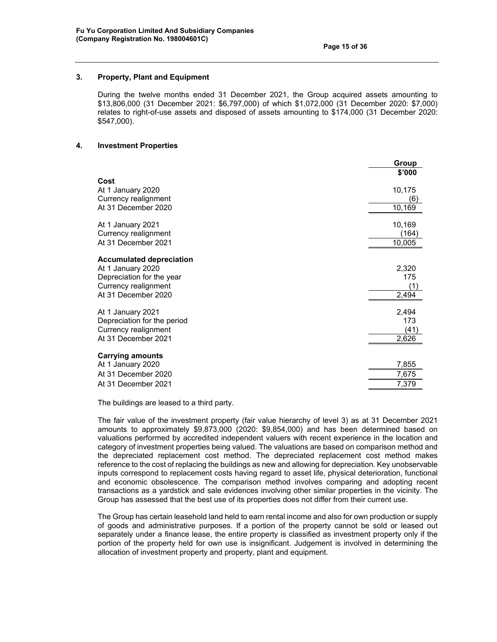### **3. Property, Plant and Equipment**

During the twelve months ended 31 December 2021, the Group acquired assets amounting to \$13,806,000 (31 December 2021: \$6,797,000) of which \$1,072,000 (31 December 2020: \$7,000) relates to right-of-use assets and disposed of assets amounting to \$174,000 (31 December 2020: \$547,000).

#### **4. Investment Properties**

|                                 | Group  |
|---------------------------------|--------|
|                                 | \$'000 |
| Cost                            |        |
| At 1 January 2020               | 10,175 |
| Currency realignment            | (6)    |
| At 31 December 2020             | 10,169 |
| At 1 January 2021               | 10,169 |
| Currency realignment            | (164)  |
| At 31 December 2021             |        |
|                                 | 10,005 |
| <b>Accumulated depreciation</b> |        |
| At 1 January 2020               | 2,320  |
| Depreciation for the year       | 175    |
| Currency realignment            | (1)    |
| At 31 December 2020             | 2,494  |
|                                 |        |
| At 1 January 2021               | 2,494  |
| Depreciation for the period     | 173    |
| Currency realignment            | (41)   |
| At 31 December 2021             | 2,626  |
| <b>Carrying amounts</b>         |        |
| At 1 January 2020               | 7,855  |
| At 31 December 2020             | 7,675  |
| At 31 December 2021             |        |
|                                 | 7,379  |

The buildings are leased to a third party.

The fair value of the investment property (fair value hierarchy of level 3) as at 31 December 2021 amounts to approximately \$9,873,000 (2020: \$9,854,000) and has been determined based on valuations performed by accredited independent valuers with recent experience in the location and category of investment properties being valued. The valuations are based on comparison method and the depreciated replacement cost method. The depreciated replacement cost method makes reference to the cost of replacing the buildings as new and allowing for depreciation. Key unobservable inputs correspond to replacement costs having regard to asset life, physical deterioration, functional and economic obsolescence. The comparison method involves comparing and adopting recent transactions as a yardstick and sale evidences involving other similar properties in the vicinity. The Group has assessed that the best use of its properties does not differ from their current use.

The Group has certain leasehold land held to earn rental income and also for own production or supply of goods and administrative purposes. If a portion of the property cannot be sold or leased out separately under a finance lease, the entire property is classified as investment property only if the portion of the property held for own use is insignificant. Judgement is involved in determining the allocation of investment property and property, plant and equipment.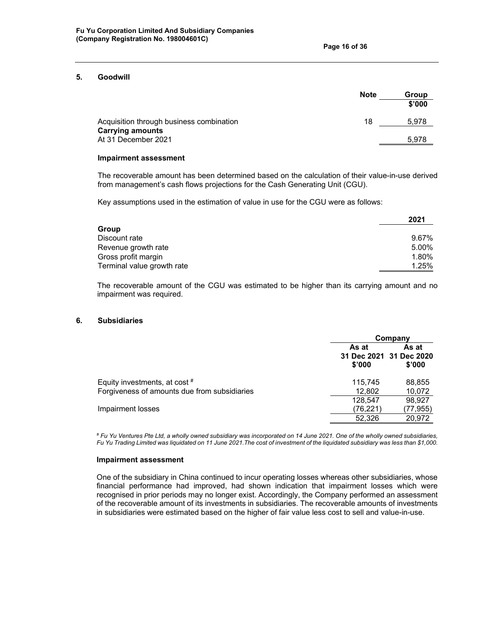#### **5. Goodwill**

|                                          | <b>Note</b> | Group  |
|------------------------------------------|-------------|--------|
|                                          |             | \$'000 |
| Acquisition through business combination | 18          | 5.978  |
| <b>Carrying amounts</b>                  |             |        |
| At 31 December 2021                      |             | 5,978  |
|                                          |             |        |

#### **Impairment assessment**

The recoverable amount has been determined based on the calculation of their value-in-use derived from management's cash flows projections for the Cash Generating Unit (CGU).

Key assumptions used in the estimation of value in use for the CGU were as follows:

|                            | 2021  |
|----------------------------|-------|
| Group                      |       |
| Discount rate              | 9.67% |
| Revenue growth rate        | 5.00% |
| Gross profit margin        | 1.80% |
| Terminal value growth rate | 1.25% |

The recoverable amount of the CGU was estimated to be higher than its carrying amount and no impairment was required.

## **6. Subsidiaries**

|                                              |                 | Company                                    |
|----------------------------------------------|-----------------|--------------------------------------------|
|                                              | As at<br>\$'000 | As at<br>31 Dec 2021 31 Dec 2020<br>\$'000 |
| Equity investments, at cost $*$              | 115.745         | 88,855                                     |
| Forgiveness of amounts due from subsidiaries | 12,802          | 10,072                                     |
|                                              | 128,547         | 98.927                                     |
| Impairment losses                            | (76, 221)       | (77,955)                                   |
|                                              | 52,326          | 20,972                                     |

*# Fu Yu Ventures Pte Ltd, a wholly owned subsidiary was incorporated on 14 June 2021. One of the wholly owned subsidiaries, Fu Yu Trading Limited was liquidated on 11 June 2021.The cost of investment of the liquidated subsidiary was less than \$1,000.* 

#### **Impairment assessment**

One of the subsidiary in China continued to incur operating losses whereas other subsidiaries, whose financial performance had improved, had shown indication that impairment losses which were recognised in prior periods may no longer exist. Accordingly, the Company performed an assessment of the recoverable amount of its investments in subsidiaries. The recoverable amounts of investments in subsidiaries were estimated based on the higher of fair value less cost to sell and value-in-use.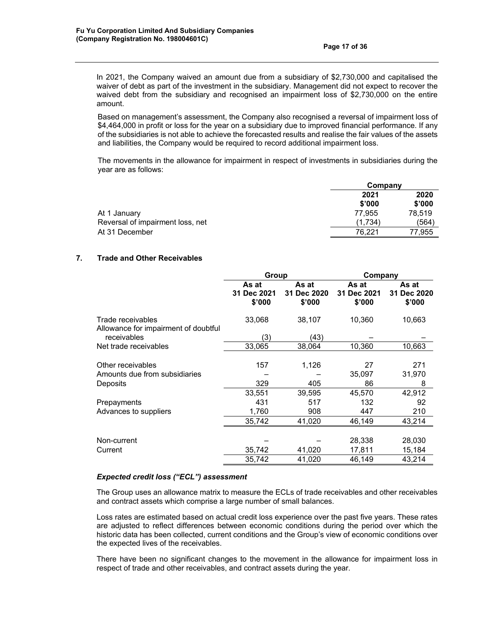In 2021, the Company waived an amount due from a subsidiary of \$2,730,000 and capitalised the waiver of debt as part of the investment in the subsidiary. Management did not expect to recover the waived debt from the subsidiary and recognised an impairment loss of \$2,730,000 on the entire amount.

Based on management's assessment, the Company also recognised a reversal of impairment loss of \$4,464,000 in profit or loss for the year on a subsidiary due to improved financial performance. If any of the subsidiaries is not able to achieve the forecasted results and realise the fair values of the assets and liabilities, the Company would be required to record additional impairment loss.

The movements in the allowance for impairment in respect of investments in subsidiaries during the year are as follows:

|                                  | Company |        |  |
|----------------------------------|---------|--------|--|
|                                  | 2021    | 2020   |  |
|                                  | \$'000  | \$'000 |  |
| At 1 January                     | 77.955  | 78.519 |  |
| Reversal of impairment loss, net | (1.734) | (564)  |  |
| At 31 December                   | 76.221  | 77.955 |  |

# **7. Trade and Other Receivables**

|                                                           | Group                          |                                | Company                        |                                          |
|-----------------------------------------------------------|--------------------------------|--------------------------------|--------------------------------|------------------------------------------|
|                                                           | As at<br>31 Dec 2021<br>\$'000 | As at<br>31 Dec 2020<br>\$'000 | As at<br>31 Dec 2021<br>\$'000 | As at<br>31<br><b>Dec 2020</b><br>\$'000 |
| Trade receivables<br>Allowance for impairment of doubtful | 33,068                         | 38,107                         | 10,360                         | 10,663                                   |
| receivables                                               | (3)                            | (43)                           |                                |                                          |
| Net trade receivables                                     | 33,065                         | 38,064                         | 10,360                         | 10,663                                   |
| Other receivables                                         | 157                            | 1,126                          | 27                             | 271                                      |
| Amounts due from subsidiaries                             |                                |                                | 35,097                         | 31,970                                   |
| Deposits                                                  | 329                            | 405                            | 86                             | 8                                        |
|                                                           | 33,551                         | 39,595                         | 45,570                         | 42,912                                   |
| Prepayments                                               | 431                            | 517                            | 132                            | 92                                       |
| Advances to suppliers                                     | 1,760                          | 908                            | 447                            | 210                                      |
|                                                           | 35,742                         | 41,020                         | 46.149                         | 43,214                                   |
|                                                           |                                |                                |                                |                                          |
| Non-current                                               |                                |                                | 28,338                         | 28,030                                   |
| Current                                                   | 35,742                         | 41,020                         | 17,811                         | 15,184                                   |
|                                                           | 35,742                         | 41,020                         | 46,149                         | 43,214                                   |

# *Expected credit loss ("ECL") assessment*

The Group uses an allowance matrix to measure the ECLs of trade receivables and other receivables and contract assets which comprise a large number of small balances.

Loss rates are estimated based on actual credit loss experience over the past five years. These rates are adjusted to reflect differences between economic conditions during the period over which the historic data has been collected, current conditions and the Group's view of economic conditions over the expected lives of the receivables.

There have been no significant changes to the movement in the allowance for impairment loss in respect of trade and other receivables, and contract assets during the year.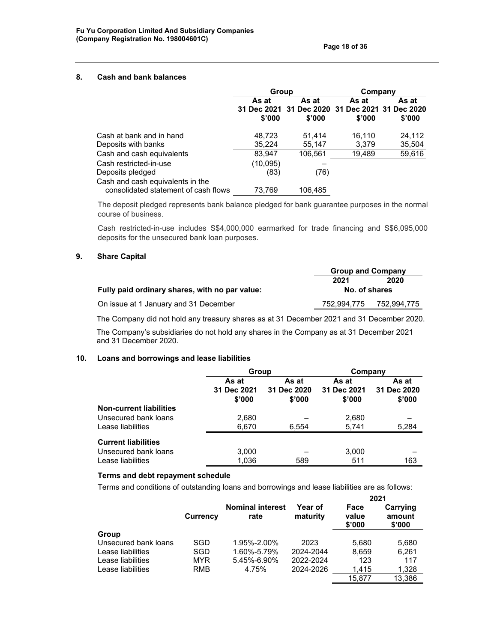#### **8. Cash and bank balances**

| Group           |                 | Company         |                                                 |
|-----------------|-----------------|-----------------|-------------------------------------------------|
| As at<br>\$'000 | As at<br>\$'000 | As at<br>\$'000 | As at<br>\$'000                                 |
| 48.723          | 51,414          | 16,110          | 24,112                                          |
| 35,224          | 55,147          | 3,379           | 35,504                                          |
| 83,947          | 106.561         | 19,489          | 59,616                                          |
| (10, 095)       |                 |                 |                                                 |
| (83)            | (76)            |                 |                                                 |
|                 |                 |                 |                                                 |
|                 | 73.769          | 106.485         | 31 Dec 2021 31 Dec 2020 31 Dec 2021 31 Dec 2020 |

The deposit pledged represents bank balance pledged for bank guarantee purposes in the normal course of business.

Cash restricted-in-use includes S\$4,000,000 earmarked for trade financing and S\$6,095,000 deposits for the unsecured bank loan purposes.

## **9. Share Capital**

|                                                | <b>Group and Company</b> |             |
|------------------------------------------------|--------------------------|-------------|
|                                                | 2020<br>2021             |             |
| Fully paid ordinary shares, with no par value: | No. of shares            |             |
| On issue at 1 January and 31 December          | 752.994.775              | 752,994,775 |
|                                                |                          |             |

The Company did not hold any treasury shares as at 31 December 2021 and 31 December 2020.

The Company's subsidiaries do not hold any shares in the Company as at 31 December 2021 and 31 December 2020.

## **10. Loans and borrowings and lease liabilities**

|                                | Group                          |                                | Company                        |                                |
|--------------------------------|--------------------------------|--------------------------------|--------------------------------|--------------------------------|
|                                | As at<br>31 Dec 2021<br>\$'000 | As at<br>31 Dec 2020<br>\$'000 | As at<br>31 Dec 2021<br>\$'000 | As at<br>31 Dec 2020<br>\$'000 |
| <b>Non-current liabilities</b> |                                |                                |                                |                                |
| Unsecured bank loans           | 2,680                          |                                | 2,680                          |                                |
| Lease liabilities              | 6,670                          | 6.554                          | 5.741                          | 5,284                          |
| <b>Current liabilities</b>     |                                |                                |                                |                                |
| Unsecured bank loans           | 3,000                          |                                | 3,000                          |                                |
| Lease liabilities              | 1,036                          | 589                            | 511                            | 163                            |

# **Terms and debt repayment schedule**

Terms and conditions of outstanding loans and borrowings and lease liabilities are as follows:

|                      |            |                                 |                            | 2021                    |                              |
|----------------------|------------|---------------------------------|----------------------------|-------------------------|------------------------------|
|                      | Currency   | <b>Nominal interest</b><br>rate | <b>Year of</b><br>maturity | Face<br>value<br>\$'000 | Carrying<br>amount<br>\$'000 |
| Group                |            |                                 |                            |                         |                              |
| Unsecured bank loans | SGD        | 1.95%-2.00%                     | 2023                       | 5.680                   | 5,680                        |
| Lease liabilities    | SGD        | 1.60%-5.79%                     | 2024-2044                  | 8.659                   | 6,261                        |
| Lease liabilities    | <b>MYR</b> | 5.45%-6.90%                     | 2022-2024                  | 123                     | 117                          |
| Lease liabilities    | RMB        | 4.75%                           | 2024-2026                  | 1.415                   | 1,328                        |
|                      |            |                                 |                            | 15.877                  | 13.386                       |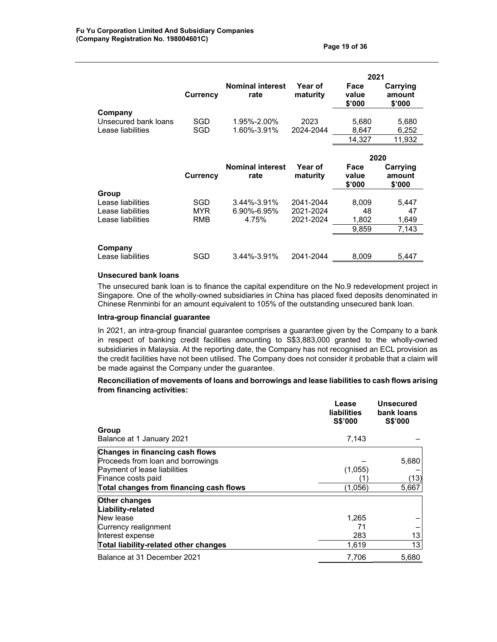|                                                      |                 |                                 |                            | 2021                    |                              |
|------------------------------------------------------|-----------------|---------------------------------|----------------------------|-------------------------|------------------------------|
|                                                      | <b>Currency</b> | <b>Nominal interest</b><br>rate | <b>Year of</b><br>maturity | Face<br>value<br>\$'000 | Carrying<br>amount<br>\$'000 |
| Company<br>Unsecured bank loans<br>Lease liabilities | SGD<br>SGD      | 1.95%-2.00%<br>1.60%-3.91%      | 2023<br>2024-2044          | 5,680<br>8,647          | 5,680<br>6,252               |
|                                                      |                 |                                 |                            | 14,327                  | 11,932                       |
|                                                      |                 |                                 |                            |                         |                              |
|                                                      |                 |                                 |                            |                         | 2020                         |
|                                                      | <b>Currency</b> | <b>Nominal interest</b><br>rate | <b>Year of</b><br>maturity | Face<br>value<br>\$'000 | Carrying<br>amount<br>\$'000 |
| Group                                                |                 |                                 |                            |                         |                              |
| Lease liabilities                                    | SGD             | $3.44\% - 3.91\%$               | 2041-2044                  | 8,009                   | 5,447                        |
| Lease liabilities<br>Lease liabilities               | MYR<br>RMB      | 6.90%-6.95%<br>4.75%            | 2021-2024<br>2021-2024     | 48<br>1,802             | 47<br>1,649                  |

| Company<br>Lease liabilities | SGD | 3.44%-3.91% | 2041-2044 | 8.009 | 5.447 |
|------------------------------|-----|-------------|-----------|-------|-------|
|                              |     |             |           |       |       |

#### **Unsecured bank loans**

The unsecured bank loan is to finance the capital expenditure on the No.9 redevelopment project in Singapore. One of the wholly-owned subsidiaries in China has placed fixed deposits denominated in Chinese Renminbi for an amount equivalent to 105% of the outstanding unsecured bank loan.

## **Intra-group financial guarantee**

In 2021, an intra-group financial guarantee comprises a guarantee given by the Company to a bank in respect of banking credit facilities amounting to S\$3,883,000 granted to the wholly-owned subsidiaries in Malaysia. At the reporting date, the Company has not recognised an ECL provision as the credit facilities have not been utilised. The Company does not consider it probable that a claim will be made against the Company under the guarantee.

# **Reconciliation of movements of loans and borrowings and lease liabilities to cash flows arising from financing activities:**

|                                         | Lease<br><b>liabilities</b><br>S\$'000 | <b>Unsecured</b><br>bank loans<br><b>S\$'000</b> |
|-----------------------------------------|----------------------------------------|--------------------------------------------------|
| Group                                   |                                        |                                                  |
| Balance at 1 January 2021               | 7.143                                  |                                                  |
| Changes in financing cash flows         |                                        |                                                  |
| Proceeds from loan and borrowings       |                                        | 5,680                                            |
| Payment of lease liabilities            | (1,055)                                |                                                  |
| Finance costs paid                      |                                        | (13)                                             |
| Total changes from financing cash flows | (1,056)                                | 5,667                                            |
| Other changes<br>Liability-related      |                                        |                                                  |
| New lease                               | 1,265                                  |                                                  |
| Currency realignment                    | 71                                     |                                                  |
| Interest expense                        | 283                                    | 13                                               |
| Total liability-related other changes   | 1,619                                  | 13                                               |
| Balance at 31 December 2021             | 7,706                                  | 5,680                                            |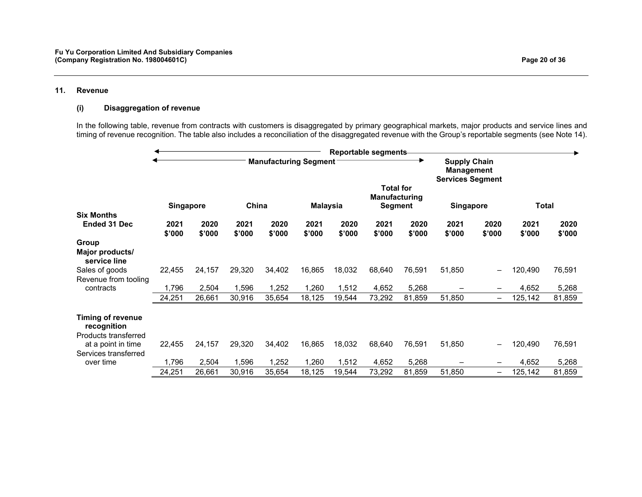#### **11. Revenue**

#### **(i) Disaggregation of revenue**

In the following table, revenue from contracts with customers is disaggregated by primary geographical markets, major products and service lines and timing of revenue recognition. The table also includes a reconciliation of the disaggregated revenue with the Group's reportable segments (see Note 14).

|                                         |                  |                |                |                              |                 |                | Reportable segments                                 |                |                  |                          |                |                |
|-----------------------------------------|------------------|----------------|----------------|------------------------------|-----------------|----------------|-----------------------------------------------------|----------------|------------------|--------------------------|----------------|----------------|
|                                         |                  |                |                | <b>Manufacturing Segment</b> |                 |                |                                                     |                |                  |                          |                |                |
|                                         | <b>Singapore</b> |                | China          |                              | <b>Malaysia</b> |                | <b>Total for</b><br>Manufacturing<br><b>Segment</b> |                | <b>Singapore</b> |                          | Total          |                |
| <b>Six Months</b>                       |                  |                |                |                              |                 |                |                                                     |                |                  |                          |                |                |
| <b>Ended 31 Dec</b>                     | 2021<br>\$'000   | 2020<br>\$'000 | 2021<br>\$'000 | 2020<br>\$'000               | 2021<br>\$'000  | 2020<br>\$'000 | 2021<br>\$'000                                      | 2020<br>\$'000 | 2021<br>\$'000   | 2020<br>\$'000           | 2021<br>\$'000 | 2020<br>\$'000 |
| Group                                   |                  |                |                |                              |                 |                |                                                     |                |                  |                          |                |                |
| Major products/<br>service line         |                  |                |                |                              |                 |                |                                                     |                |                  |                          |                |                |
| Sales of goods                          | 22,455           | 24,157         | 29,320         | 34,402                       | 16,865          | 18,032         | 68,640                                              | 76,591         | 51,850           | -                        | 120,490        | 76,591         |
| Revenue from tooling                    |                  |                |                |                              |                 |                |                                                     |                |                  |                          |                |                |
| contracts                               | 1,796            | 2,504          | 1,596          | 1,252                        | 1,260           | 1,512          | 4,652                                               | 5,268          |                  | -                        | 4,652          | 5,268          |
|                                         | 24,251           | 26,661         | 30,916         | 35,654                       | 18,125          | 19,544         | 73,292                                              | 81,859         | 51,850           | $\overline{\phantom{0}}$ | 125,142        | 81,859         |
| <b>Timing of revenue</b><br>recognition |                  |                |                |                              |                 |                |                                                     |                |                  |                          |                |                |
| Products transferred                    |                  |                |                |                              |                 |                |                                                     |                |                  |                          |                |                |
| at a point in time                      | 22,455           | 24,157         | 29,320         | 34,402                       | 16,865          | 18,032         | 68,640                                              | 76,591         | 51,850           | —                        | 120,490        | 76,591         |
| Services transferred                    |                  |                |                |                              |                 |                |                                                     |                |                  |                          |                |                |
| over time                               | 1,796            | 2,504          | 1,596          | 1,252                        | 1,260           | 1,512          | 4,652                                               | 5,268          |                  | —                        | 4,652          | 5,268          |
|                                         | 24,251           | 26,661         | 30,916         | 35,654                       | 18,125          | 19,544         | 73,292                                              | 81,859         | 51,850           | $\overline{\phantom{0}}$ | 125,142        | 81,859         |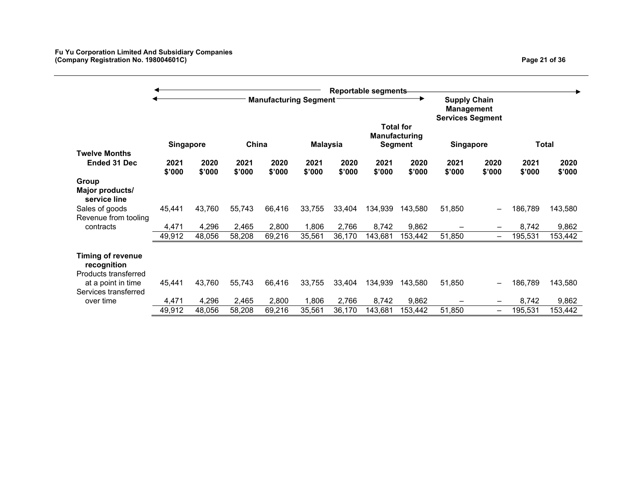|                                                                    |                  |                |                |                              |                 |                | <b>Reportable segments</b> |                                 |                                                              |                |                |                |
|--------------------------------------------------------------------|------------------|----------------|----------------|------------------------------|-----------------|----------------|----------------------------|---------------------------------|--------------------------------------------------------------|----------------|----------------|----------------|
|                                                                    |                  |                |                | <b>Manufacturing Segment</b> |                 |                |                            | <b>Total for</b>                | <b>Supply Chain</b><br>Management<br><b>Services Segment</b> |                |                |                |
|                                                                    | <b>Singapore</b> |                | China          |                              | <b>Malaysia</b> |                |                            | Manufacturing<br><b>Segment</b> | <b>Singapore</b>                                             |                |                | Total          |
| <b>Twelve Months</b>                                               |                  |                |                |                              |                 |                |                            |                                 |                                                              |                |                |                |
| <b>Ended 31 Dec</b>                                                | 2021<br>\$'000   | 2020<br>\$'000 | 2021<br>\$'000 | 2020<br>\$'000               | 2021<br>\$'000  | 2020<br>\$'000 | 2021<br>\$'000             | 2020<br>\$'000                  | 2021<br>\$'000                                               | 2020<br>\$'000 | 2021<br>\$'000 | 2020<br>\$'000 |
| Group<br>Major products/<br>service line                           |                  |                |                |                              |                 |                |                            |                                 |                                                              |                |                |                |
| Sales of goods<br>Revenue from tooling                             | 45,441           | 43,760         | 55,743         | 66.416                       | 33,755          | 33,404         | 134,939                    | 143,580                         | 51,850                                                       |                | 186,789        | 143,580        |
| contracts                                                          | 4,471            | 4,296          | 2,465          | 2,800                        | 1,806           | 2,766          | 8,742                      | 9,862                           |                                                              |                | 8,742          | 9,862          |
|                                                                    | 49,912           | 48,056         | 58,208         | 69,216                       | 35,561          | 36,170         | 143,681                    | 153,442                         | 51,850                                                       | —              | 195,531        | 153,442        |
| <b>Timing of revenue</b><br>recognition                            |                  |                |                |                              |                 |                |                            |                                 |                                                              |                |                |                |
| Products transferred<br>at a point in time<br>Services transferred | 45,441           | 43,760         | 55,743         | 66,416                       | 33,755          | 33,404         | 134,939                    | 143,580                         | 51,850                                                       |                | 186,789        | 143,580        |
| over time                                                          | 4,471            | 4,296          | 2,465          | 2,800                        | 1,806           | 2,766          | 8,742                      | 9,862                           |                                                              | —              | 8,742          | 9,862          |
|                                                                    | 49,912           | 48,056         | 58,208         | 69,216                       | 35,561          | 36,170         | 143,681                    | 153,442                         | 51,850                                                       | —              | 195,531        | 153,442        |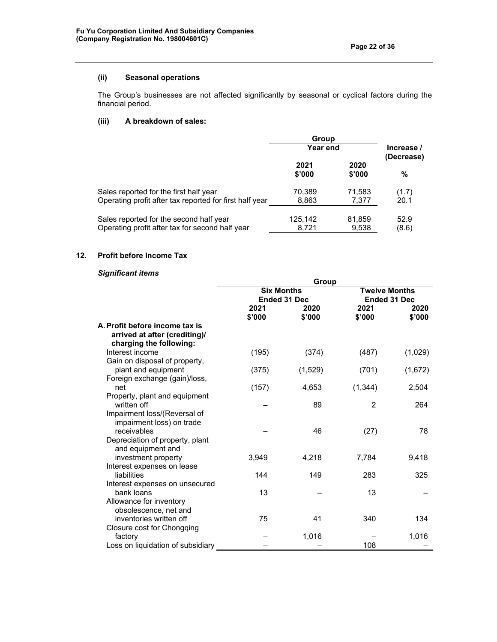# **(ii) Seasonal operations**

The Group's businesses are not affected significantly by seasonal or cyclical factors during the financial period.

# **(iii) A breakdown of sales:**

|                                                                                                   | Group            |                          |               |  |
|---------------------------------------------------------------------------------------------------|------------------|--------------------------|---------------|--|
|                                                                                                   | <b>Year end</b>  | Increase /<br>(Decrease) |               |  |
|                                                                                                   | 2021<br>\$'000   | 2020<br>\$'000           | %             |  |
| Sales reported for the first half year<br>Operating profit after tax reported for first half year | 70,389<br>8,863  | 71,583<br>7.377          | (1.7)<br>20.1 |  |
| Sales reported for the second half year<br>Operating profit after tax for second half year        | 125,142<br>8.721 | 81,859<br>9,538          | 52.9<br>(8.6) |  |

# **12. Profit before Income Tax**

# *Significant items*

|                                                                                            | Group             |                     |                      |                |  |  |  |
|--------------------------------------------------------------------------------------------|-------------------|---------------------|----------------------|----------------|--|--|--|
|                                                                                            | <b>Six Months</b> |                     | <b>Twelve Months</b> |                |  |  |  |
|                                                                                            |                   | <b>Ended 31 Dec</b> | <b>Ended 31 Dec</b>  |                |  |  |  |
|                                                                                            | 2021<br>\$'000    | 2020<br>\$'000      | 2021<br>\$'000       | 2020<br>\$'000 |  |  |  |
| A. Profit before income tax is<br>arrived at after (crediting)/<br>charging the following: |                   |                     |                      |                |  |  |  |
| Interest income                                                                            | (195)             | (374)               | (487)                | (1,029)        |  |  |  |
| Gain on disposal of property,<br>plant and equipment                                       | (375)             | (1,529)             | (701)                | (1,672)        |  |  |  |
| Foreign exchange (gain)/loss,<br>net                                                       | (157)             | 4,653               | (1, 344)             | 2,504          |  |  |  |
| Property, plant and equipment<br>written off                                               |                   | 89                  | 2                    | 264            |  |  |  |
| Impairment loss/(Reversal of<br>impairment loss) on trade<br>receivables                   |                   |                     |                      | 78             |  |  |  |
| Depreciation of property, plant<br>and equipment and                                       |                   | 46                  | (27)                 |                |  |  |  |
| investment property                                                                        | 3,949             | 4,218               | 7,784                | 9,418          |  |  |  |
| Interest expenses on lease<br>liabilities                                                  | 144               | 149                 | 283                  | 325            |  |  |  |
| Interest expenses on unsecured<br>bank loans                                               | 13                |                     | 13                   |                |  |  |  |
| Allowance for inventory<br>obsolescence, net and                                           |                   |                     |                      |                |  |  |  |
| inventories written off                                                                    | 75                | 41                  | 340                  | 134            |  |  |  |
| Closure cost for Chongqing                                                                 |                   |                     |                      |                |  |  |  |
| factory<br>Loss on liquidation of subsidiary                                               |                   | 1,016               | 108                  | 1,016          |  |  |  |
|                                                                                            |                   |                     |                      |                |  |  |  |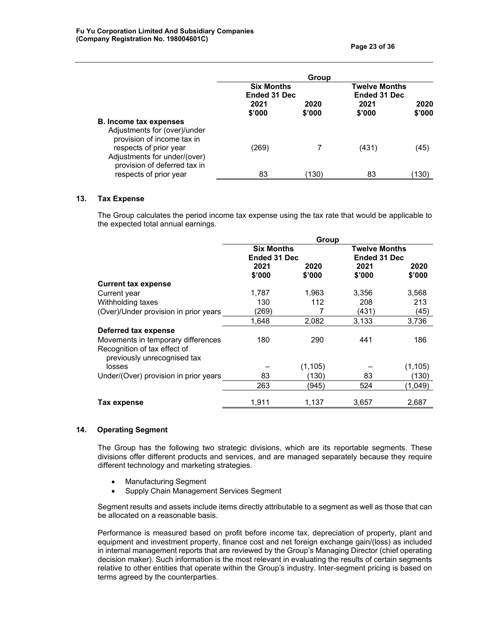|                                                                                                                                                                                       | Group                             |                |                                      |                |  |  |
|---------------------------------------------------------------------------------------------------------------------------------------------------------------------------------------|-----------------------------------|----------------|--------------------------------------|----------------|--|--|
|                                                                                                                                                                                       | <b>Six Months</b><br>Ended 31 Dec |                | <b>Twelve Months</b><br>Ended 31 Dec |                |  |  |
|                                                                                                                                                                                       | 2021<br>\$'000                    | 2020<br>\$'000 | 2021<br>\$'000                       | 2020<br>\$'000 |  |  |
| <b>B. Income tax expenses</b><br>Adjustments for (over)/under<br>provision of income tax in<br>respects of prior year<br>Adjustments for under/(over)<br>provision of deferred tax in | (269)                             | 7              | (431)                                | (45)           |  |  |
| respects of prior year                                                                                                                                                                | 83                                | (130)          | 83                                   | 130`           |  |  |

### **13. Tax Expense**

The Group calculates the period income tax expense using the tax rate that would be applicable to the expected total annual earnings.

|                                                             |                   | Group   |                      |         |
|-------------------------------------------------------------|-------------------|---------|----------------------|---------|
|                                                             | <b>Six Months</b> |         | <b>Twelve Months</b> |         |
|                                                             | Ended 31 Dec      |         | Ended 31 Dec         |         |
|                                                             | 2021              | 2020    | 2021                 | 2020    |
|                                                             | \$'000            | \$'000  | \$'000               | \$'000  |
| <b>Current tax expense</b>                                  |                   |         |                      |         |
| Current year                                                | 1,787             | 1,963   | 3,356                | 3,568   |
| Withholding taxes                                           | 130               | 112     | 208                  | 213     |
| (Over)/Under provision in prior years                       | (269)             |         | (431)                | (45)    |
|                                                             | 1,648             | 2,082   | 3,133                | 3,736   |
| Deferred tax expense                                        |                   |         |                      |         |
| Movements in temporary differences                          | 180               | 290     | 441                  | 186     |
| Recognition of tax effect of<br>previously unrecognised tax |                   |         |                      |         |
| losses                                                      |                   | (1,105) |                      | (1,105) |
| Under/(Over) provision in prior years                       | 83                | (130)   | 83                   | (130)   |
|                                                             | 263               | (945)   | 524                  | (1,049) |
|                                                             |                   |         |                      |         |
| Tax expense                                                 | 1,911             | 1,137   | 3,657                | 2,687   |

## **14. Operating Segment**

The Group has the following two strategic divisions, which are its reportable segments. These divisions offer different products and services, and are managed separately because they require different technology and marketing strategies.

- Manufacturing Segment
- Supply Chain Management Services Segment

Segment results and assets include items directly attributable to a segment as well as those that can be allocated on a reasonable basis.

Performance is measured based on profit before income tax, depreciation of property, plant and equipment and investment property, finance cost and net foreign exchange gain/(loss) as included in internal management reports that are reviewed by the Group's Managing Director (chief operating decision maker). Such information is the most relevant in evaluating the results of certain segments relative to other entities that operate within the Group's industry. Inter-segment pricing is based on terms agreed by the counterparties.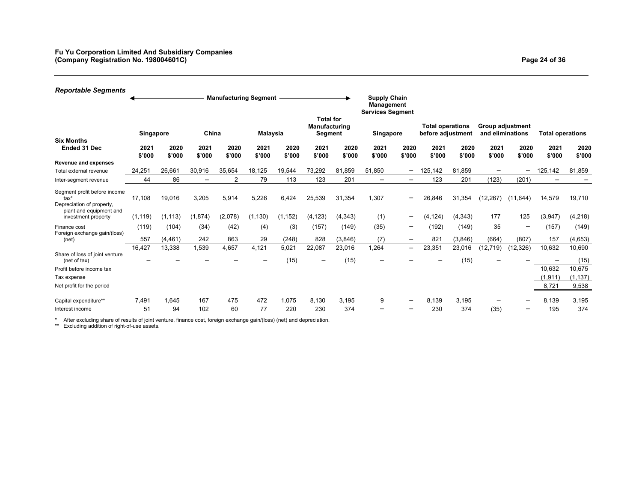| <b>Reportable Segments</b>                                                                                                      |                    |                    |                   | <b>Manufacturing Segment</b> |                  |                   |                                                     |                    |                                                                                  |                               |                                              |                    |                                             |                          |                                       |                                               |
|---------------------------------------------------------------------------------------------------------------------------------|--------------------|--------------------|-------------------|------------------------------|------------------|-------------------|-----------------------------------------------------|--------------------|----------------------------------------------------------------------------------|-------------------------------|----------------------------------------------|--------------------|---------------------------------------------|--------------------------|---------------------------------------|-----------------------------------------------|
|                                                                                                                                 | Singapore          |                    | China             |                              | Malaysia         |                   | <b>Total for</b><br><b>Manufacturing</b><br>Segment |                    | <b>Supply Chain</b><br><b>Management</b><br><b>Services Segment</b><br>Singapore |                               | <b>Total operations</b><br>before adjustment |                    | <b>Group adjustment</b><br>and eliminations |                          | <b>Total operations</b>               |                                               |
| <b>Six Months</b><br>Ended 31 Dec                                                                                               | 2021<br>\$'000     | 2020<br>\$'000     | 2021<br>\$'000    | 2020<br>\$'000               | 2021<br>\$'000   | 2020<br>\$'000    | 2021<br>\$'000                                      | 2020<br>\$'000     | 2021<br>\$'000                                                                   | 2020<br>\$'000                | 2021<br>\$'000                               | 2020<br>\$'000     | 2021<br>\$'000                              | 2020<br>\$'000           | 2021<br>\$'000                        | 2020<br>\$'000                                |
| <b>Revenue and expenses</b>                                                                                                     |                    |                    |                   |                              |                  |                   |                                                     |                    |                                                                                  |                               |                                              |                    |                                             |                          |                                       |                                               |
| Total external revenue<br>Inter-segment revenue                                                                                 | 24.25'<br>44       | 26.661<br>86       | 30,916<br>-       | 35,654<br>$\overline{2}$     | 18.125<br>79     | 19,544<br>113     | 73,292<br>123                                       | 81,859<br>201      | 51.850<br>-                                                                      | -<br>-                        | 125.142<br>123                               | 81.859<br>201      | (123)                                       | -<br>(201)               | 125,142<br>-                          | 81,859                                        |
| Segment profit before income<br>tax <sup>*</sup><br>Depreciation of property,<br>plant and equipment and<br>investment property | 17,108<br>(1, 119) | 19,016<br>(1, 113) | 3,205<br>(1, 874) | 5,914<br>(2,078)             | 5,226<br>(1.130) | 6,424<br>(1, 152) | 25,539<br>(4, 123)                                  | 31,354<br>(4, 343) | 1,307<br>(1)                                                                     | -<br>-                        | 26,846<br>(4, 124)                           | 31,354<br>(4, 343) | (12, 267)<br>177                            | (11, 644)<br>125         | 14,579<br>(3,947)                     | 19,710<br>(4, 218)                            |
| Finance cost<br>Foreign exchange gain/(loss)<br>(net)                                                                           | (119)<br>557       | (104)<br>(4, 461)  | (34)<br>242       | (42)<br>863                  | (4)<br>29        | (3)<br>(248)      | (157)<br>828                                        | (149)<br>(3,846)   | (35)<br>(7)                                                                      | -<br>$\overline{\phantom{0}}$ | (192)<br>821                                 | (149)<br>(3,846)   | 35<br>(664)                                 | $\qquad \qquad$<br>(807) | (157<br>157                           | (149)<br>(4,653)                              |
| Share of loss of joint venture<br>(net of tax)<br>Profit before income tax<br>Tax expense<br>Net profit for the period          | 16,427             | 13,338             | 1,539             | 4,657                        | 4,121            | 5,021<br>(15)     | 22,087                                              | 23,016<br>(15)     | 1,264                                                                            | $\qquad \qquad -$             | 23,351                                       | 23,016<br>(15)     | (12, 719)                                   | (12, 326)                | 10,632<br>10,632<br>(1, 911)<br>8,721 | 10,690<br>(15)<br>10,675<br>(1, 137)<br>9,538 |
| Capital expenditure**<br>Interest income                                                                                        | 7.491<br>51        | 1.645<br>94        | 167<br>102        | 475<br>60                    | 472<br>77        | 1.075<br>220      | 8.130<br>230                                        | 3.195<br>374       | 9                                                                                | -                             | 8.139<br>230                                 | 3.195<br>374       | -<br>(35)                                   |                          | 8,139<br>195                          | 3,195<br>374                                  |

\* After excluding share of results of joint venture, finance cost, foreign exchange gain/(loss) (net) and depreciation. \*\* Excluding addition of right-of-use assets.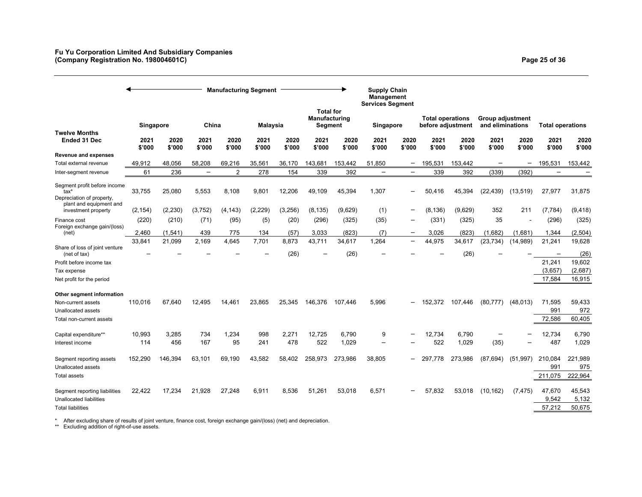|                                                                                              |                |                |                          |                | <b>Manufacturing Segment</b> |                |                                              |                | <b>Supply Chain</b><br><b>Management</b><br><b>Services Segment</b> |                          |                                              |                |                                             |                          |                           |                           |
|----------------------------------------------------------------------------------------------|----------------|----------------|--------------------------|----------------|------------------------------|----------------|----------------------------------------------|----------------|---------------------------------------------------------------------|--------------------------|----------------------------------------------|----------------|---------------------------------------------|--------------------------|---------------------------|---------------------------|
| <b>Twelve Months</b>                                                                         | Singapore      |                | China                    |                | Malaysia                     |                | <b>Total for</b><br>Manufacturing<br>Segment |                | Singapore                                                           |                          | <b>Total operations</b><br>before adjustment |                | <b>Group adjustment</b><br>and eliminations |                          | Total operations          |                           |
| Ended 31 Dec                                                                                 | 2021<br>\$'000 | 2020<br>\$'000 | 2021<br>\$'000           | 2020<br>\$'000 | 2021<br>\$'000               | 2020<br>\$'000 | 2021<br>\$'000                               | 2020<br>\$'000 | 2021<br>\$'000                                                      | 2020<br>\$'000           | 2021<br>\$'000                               | 2020<br>\$'000 | 2021<br>\$'000                              | 2020<br>\$'000           | 2021<br>\$'000            | 2020<br>\$'000            |
| <b>Revenue and expenses</b>                                                                  |                |                |                          |                |                              |                |                                              |                |                                                                     |                          |                                              |                |                                             |                          |                           |                           |
| Total external revenue                                                                       | 49,912         | 48,056         | 58,208                   | 69,216         | 35,561                       | 36,170         | 143,681                                      | 153,442        | 51,850                                                              | $\overline{\phantom{m}}$ | 195,531                                      | 153.442        | $\overline{\phantom{0}}$                    | $\overline{\phantom{0}}$ | 195,531                   | 153,442                   |
| Inter-segment revenue                                                                        | 61             | 236            | $\overline{\phantom{0}}$ | 2              | 278                          | 154            | 339                                          | 392            | $\overline{\phantom{0}}$                                            | -                        | 339                                          | 392            | (339)                                       | (392)                    |                           |                           |
| Segment profit before income<br>tax*<br>Depreciation of property,<br>plant and equipment and | 33,755         | 25,080         | 5,553                    | 8,108          | 9,801                        | 12,206         | 49,109                                       | 45,394         | 1,307                                                               |                          | 50,416                                       | 45,394         | (22, 439)                                   | (13, 519)                | 27,977                    | 31,875                    |
| investment property                                                                          | (2, 154)       | (2, 230)       | (3,752)                  | (4, 143)       | (2, 229)                     | (3, 256)       | (8, 135)                                     | (9,629)        | (1)                                                                 |                          | (8, 136)                                     | (9,629)        | 352                                         | 211                      | (7, 784)                  | (9, 418)                  |
| Finance cost<br>Foreign exchange gain/(loss)                                                 | (220)          | (210)          | (71)                     | (95)           | (5)                          | (20)           | (296)                                        | (325)          | (35)                                                                |                          | (331)                                        | (325)          | 35                                          |                          | (296)                     | (325)                     |
| (net)                                                                                        | 2,460          | (1,541)        | 439                      | 775            | 134                          | (57)           | 3,033                                        | (823)          | (7)                                                                 | $\overline{\phantom{m}}$ | 3,026                                        | (823)          | (1,682)                                     | (1,681)                  | 1,344                     | (2,504)                   |
|                                                                                              | 33,841         | 21,099         | 2,169                    | 4,645          | 7,701                        | 8,873          | 43,711                                       | 34,617         | 1,264                                                               | $\overline{\phantom{0}}$ | 44,975                                       | 34,617         | (23, 734)                                   | (14,989)                 | 21,241                    | 19,628                    |
| Share of loss of joint venture<br>(net of tax)                                               |                |                |                          |                |                              | (26)           |                                              | (26)           |                                                                     |                          |                                              | (26)           |                                             |                          |                           | (26)                      |
| Profit before income tax                                                                     |                |                |                          |                |                              |                |                                              |                |                                                                     |                          |                                              |                |                                             |                          | 21,241                    | 19,602                    |
| Tax expense                                                                                  |                |                |                          |                |                              |                |                                              |                |                                                                     |                          |                                              |                |                                             |                          | (3,657)                   | (2,687)                   |
| Net profit for the period                                                                    |                |                |                          |                |                              |                |                                              |                |                                                                     |                          |                                              |                |                                             |                          | 17,584                    | 16,915                    |
| Other segment information                                                                    |                |                |                          |                |                              |                |                                              |                |                                                                     |                          |                                              |                |                                             |                          |                           |                           |
| Non-current assets                                                                           | 110,016        | 67.640         | 12,495                   | 14.461         | 23,865                       | 25,345         | 146,376                                      | 107.446        | 5,996                                                               |                          | 152.372                                      | 107.446        | (80, 777)                                   | (48, 013)                | 71,595                    | 59,433                    |
| Unallocated assets                                                                           |                |                |                          |                |                              |                |                                              |                |                                                                     |                          |                                              |                |                                             |                          | 991                       | 972                       |
| Total non-current assets                                                                     |                |                |                          |                |                              |                |                                              |                |                                                                     |                          |                                              |                |                                             |                          | 72,586                    | 60,405                    |
| Capital expenditure**<br>Interest income                                                     | 10,993<br>114  | 3,285<br>456   | 734<br>167               | 1,234<br>95    | 998<br>241                   | 2,271<br>478   | 12,725<br>522                                | 6,790<br>1,029 | 9<br>$\overline{\phantom{0}}$                                       |                          | 12,734<br>522                                | 6,790<br>1,029 | (35)                                        |                          | 12,734<br>487             | 6,790<br>1,029            |
| Segment reporting assets<br>Unallocated assets<br><b>Total assets</b>                        | 152,290        | 146,394        | 63,101                   | 69,190         | 43,582                       | 58,402         | 258,973                                      | 273,986        | 38,805                                                              |                          | 297.778                                      | 273,986        | (87, 694)                                   | (51, 997)                | 210,084<br>991<br>211,075 | 221,989<br>975<br>222,964 |
| Segment reporting liabilities<br><b>Unallocated liabilities</b><br><b>Total liabilities</b>  | 22,422         | 17,234         | 21,928                   | 27,248         | 6,911                        | 8,536          | 51,261                                       | 53,018         | 6,571                                                               |                          | 57,832                                       | 53,018         | (10, 162)                                   | (7, 475)                 | 47,670<br>9,542<br>57,212 | 45,543<br>5,132<br>50,675 |

\* After excluding share of results of joint venture, finance cost, foreign exchange gain/(loss) (net) and depreciation. \*\* Excluding addition of right-of-use assets.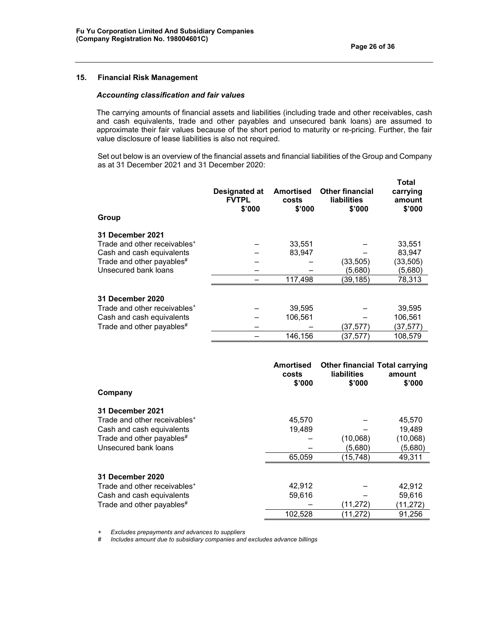# **15. Financial Risk Management**

## *Accounting classification and fair values*

The carrying amounts of financial assets and liabilities (including trade and other receivables, cash and cash equivalents, trade and other payables and unsecured bank loans) are assumed to approximate their fair values because of the short period to maturity or re-pricing. Further, the fair value disclosure of lease liabilities is also not required.

Set out below is an overview of the financial assets and financial liabilities of the Group and Company as at 31 December 2021 and 31 December 2020:

| Group                                                                                                                                                 | Designated at<br><b>FVTPL</b><br>\$'000 | <b>Amortised</b><br>costs<br>\$'000 | <b>Other financial</b><br>liabilities<br>\$'000 | Total<br>carrying<br>amount<br>\$'000             |
|-------------------------------------------------------------------------------------------------------------------------------------------------------|-----------------------------------------|-------------------------------------|-------------------------------------------------|---------------------------------------------------|
| <b>31 December 2021</b><br>Trade and other receivables <sup>+</sup><br>Cash and cash equivalents<br>Trade and other payables#<br>Unsecured bank loans |                                         | 33,551<br>83,947<br>117,498         | (33,505)<br>(5.680)<br>(39,185)                 | 33,551<br>83,947<br>(33,505)<br>(5,680)<br>78,313 |
| <b>31 December 2020</b><br>Trade and other receivables <sup>+</sup><br>Cash and cash equivalents<br>Trade and other payables <sup>#</sup>             |                                         | 39,595<br>106,561<br>146,156        | (37,577)<br>(37.577)                            | 39,595<br>106,561<br>(37, 577)<br>108.579         |

| Company                                  | <b>Amortised</b><br>costs<br>\$'000 | <b>Other financial Total carrying</b><br><b>liabilities</b><br>\$'000 | amount<br>\$'000 |
|------------------------------------------|-------------------------------------|-----------------------------------------------------------------------|------------------|
| 31 December 2021                         |                                     |                                                                       |                  |
| Trade and other receivables <sup>+</sup> | 45,570                              |                                                                       | 45,570           |
| Cash and cash equivalents                | 19.489                              |                                                                       | 19,489           |
| Trade and other payables <sup>#</sup>    |                                     | (10,068)                                                              | (10,068)         |
| Unsecured bank loans                     |                                     | (5,680)                                                               | (5,680)          |
|                                          | 65,059                              | (15,748)                                                              | 49,311           |
| <b>31 December 2020</b>                  |                                     |                                                                       |                  |
| Trade and other receivables <sup>+</sup> | 42,912                              |                                                                       | 42,912           |
| Cash and cash equivalents                | 59,616                              |                                                                       | 59,616           |
| Trade and other payables <sup>#</sup>    |                                     | (11, 272)                                                             | (11,272)         |
|                                          | 102,528                             | (11,272)                                                              | 91,256           |

 $Excludes$  prepayments and advances to suppliers

 *# Includes amount due to subsidiary companies and excludes advance billings*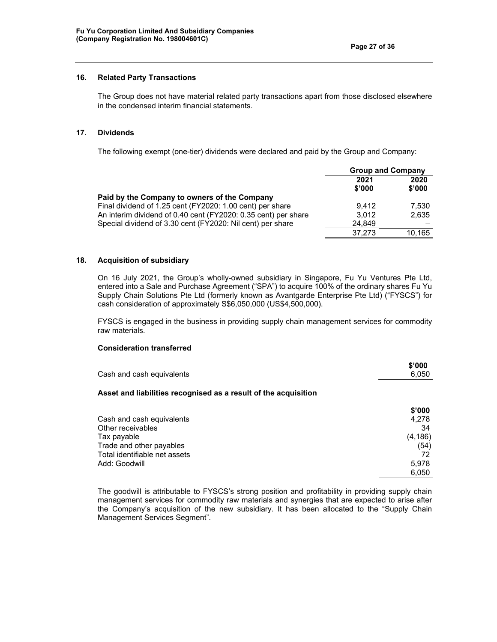# **16. Related Party Transactions**

The Group does not have material related party transactions apart from those disclosed elsewhere in the condensed interim financial statements.

### **17. Dividends**

The following exempt (one-tier) dividends were declared and paid by the Group and Company:

|                                                                | <b>Group and Company</b> |                |  |
|----------------------------------------------------------------|--------------------------|----------------|--|
|                                                                | 2021<br>\$'000           | 2020<br>\$'000 |  |
| Paid by the Company to owners of the Company                   |                          |                |  |
| Final dividend of 1.25 cent (FY2020: 1.00 cent) per share      | 9.412                    | 7,530          |  |
| An interim dividend of 0.40 cent (FY2020: 0.35 cent) per share | 3.012                    | 2.635          |  |
| Special dividend of 3.30 cent (FY2020: Nil cent) per share     | 24.849                   |                |  |
|                                                                | 37.273                   | 10,165         |  |

## **18. Acquisition of subsidiary**

On 16 July 2021, the Group's wholly-owned subsidiary in Singapore, Fu Yu Ventures Pte Ltd, entered into a Sale and Purchase Agreement ("SPA") to acquire 100% of the ordinary shares Fu Yu Supply Chain Solutions Pte Ltd (formerly known as Avantgarde Enterprise Pte Ltd) ("FYSCS") for cash consideration of approximately S\$6,050,000 (US\$4,500,000).

FYSCS is engaged in the business in providing supply chain management services for commodity raw materials.

## **Consideration transferred**

| Cash and cash equivalents                                       | \$'000<br>6,050 |
|-----------------------------------------------------------------|-----------------|
| Asset and liabilities recognised as a result of the acquisition |                 |
|                                                                 | \$'000          |
| Cash and cash equivalents                                       | 4,278           |
| Other receivables                                               | 34              |
| Tax payable                                                     | (4, 186)        |
| Trade and other payables                                        | (54)            |
| Total identifiable net assets                                   | 72              |
| Add: Goodwill                                                   | 5,978           |
|                                                                 | 6.050           |

The goodwill is attributable to FYSCS's strong position and profitability in providing supply chain management services for commodity raw materials and synergies that are expected to arise after the Company's acquisition of the new subsidiary. It has been allocated to the "Supply Chain Management Services Segment".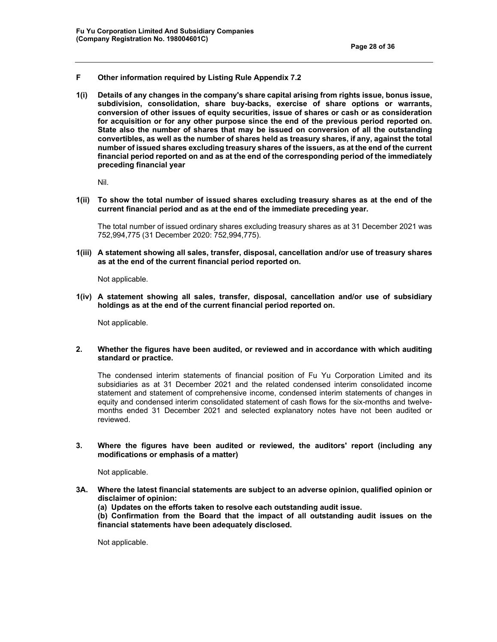- **F Other information required by Listing Rule Appendix 7.2**
- **1(i) Details of any changes in the company's share capital arising from rights issue, bonus issue, subdivision, consolidation, share buy-backs, exercise of share options or warrants, conversion of other issues of equity securities, issue of shares or cash or as consideration for acquisition or for any other purpose since the end of the previous period reported on. State also the number of shares that may be issued on conversion of all the outstanding convertibles, as well as the number of shares held as treasury shares, if any, against the total number of issued shares excluding treasury shares of the issuers, as at the end of the current financial period reported on and as at the end of the corresponding period of the immediately preceding financial year**

Nil.

**1(ii) To show the total number of issued shares excluding treasury shares as at the end of the current financial period and as at the end of the immediate preceding year.** 

The total number of issued ordinary shares excluding treasury shares as at 31 December 2021 was 752,994,775 (31 December 2020: 752,994,775).

**1(iii) A statement showing all sales, transfer, disposal, cancellation and/or use of treasury shares as at the end of the current financial period reported on.**

Not applicable.

**1(iv) A statement showing all sales, transfer, disposal, cancellation and/or use of subsidiary holdings as at the end of the current financial period reported on.** 

Not applicable.

#### **2. Whether the figures have been audited, or reviewed and in accordance with which auditing standard or practice.**

The condensed interim statements of financial position of Fu Yu Corporation Limited and its subsidiaries as at 31 December 2021 and the related condensed interim consolidated income statement and statement of comprehensive income, condensed interim statements of changes in equity and condensed interim consolidated statement of cash flows for the six-months and twelvemonths ended 31 December 2021 and selected explanatory notes have not been audited or reviewed.

**3. Where the figures have been audited or reviewed, the auditors' report (including any modifications or emphasis of a matter)** 

Not applicable.

- **3A. Where the latest financial statements are subject to an adverse opinion, qualified opinion or disclaimer of opinion:** 
	- **(a) Updates on the efforts taken to resolve each outstanding audit issue.**

**(b) Confirmation from the Board that the impact of all outstanding audit issues on the financial statements have been adequately disclosed.** 

Not applicable.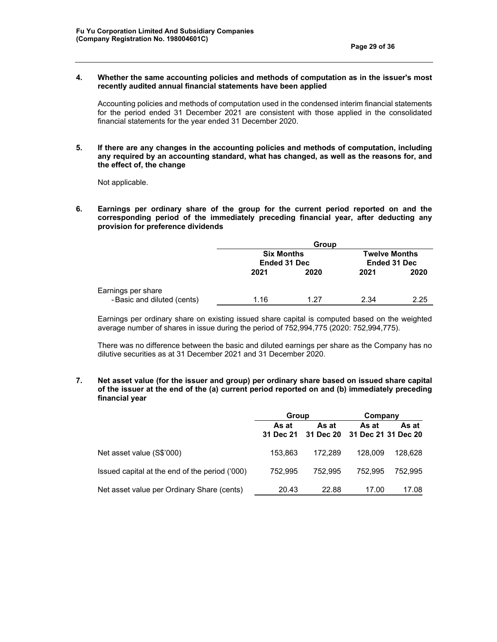**4. Whether the same accounting policies and methods of computation as in the issuer's most recently audited annual financial statements have been applied** 

Accounting policies and methods of computation used in the condensed interim financial statements for the period ended 31 December 2021 are consistent with those applied in the consolidated financial statements for the year ended 31 December 2020.

**5. If there are any changes in the accounting policies and methods of computation, including any required by an accounting standard, what has changed, as well as the reasons for, and the effect of, the change** 

Not applicable.

**6. Earnings per ordinary share of the group for the current period reported on and the corresponding period of the immediately preceding financial year, after deducting any provision for preference dividends** 

|                             | <b>Group</b>                             |      |                                             |      |
|-----------------------------|------------------------------------------|------|---------------------------------------------|------|
|                             | <b>Six Months</b><br><b>Ended 31 Dec</b> |      | <b>Twelve Months</b><br><b>Ended 31 Dec</b> |      |
|                             | 2021                                     | 2020 | 2021                                        | 2020 |
| Earnings per share          |                                          |      |                                             |      |
| - Basic and diluted (cents) | 1.16                                     | 1 27 | 2.34                                        | 2.25 |

Earnings per ordinary share on existing issued share capital is computed based on the weighted average number of shares in issue during the period of 752,994,775 (2020: 752,994,775).

There was no difference between the basic and diluted earnings per share as the Company has no dilutive securities as at 31 December 2021 and 31 December 2020.

**7. Net asset value (for the issuer and group) per ordinary share based on issued share capital of the issuer at the end of the (a) current period reported on and (b) immediately preceding financial year** 

|                                                | Group                     |                    | Company                      |         |
|------------------------------------------------|---------------------------|--------------------|------------------------------|---------|
|                                                | As at<br><b>31 Dec 21</b> | As at<br>31 Dec 20 | As at<br>31 Dec 21 31 Dec 20 | As at   |
| Net asset value (S\$'000)                      | 153.863                   | 172.289            | 128,009                      | 128.628 |
| Issued capital at the end of the period ('000) | 752.995                   | 752.995            | 752.995                      | 752.995 |
| Net asset value per Ordinary Share (cents)     | 20.43                     | 22.88              | 17.00                        | 17.08   |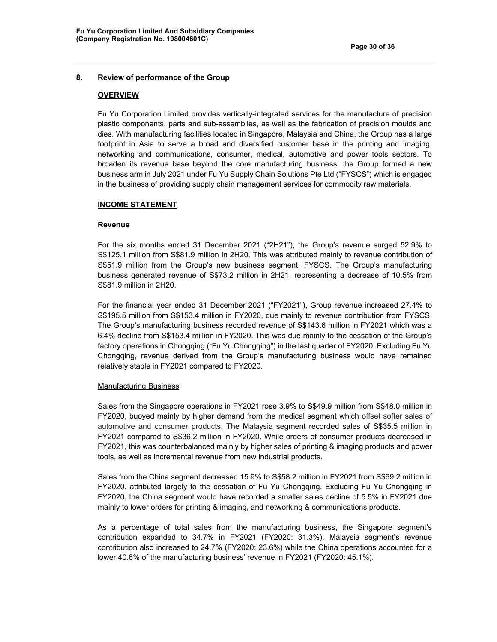### **8. Review of performance of the Group**

#### **OVERVIEW**

Fu Yu Corporation Limited provides vertically-integrated services for the manufacture of precision plastic components, parts and sub-assemblies, as well as the fabrication of precision moulds and dies. With manufacturing facilities located in Singapore, Malaysia and China, the Group has a large footprint in Asia to serve a broad and diversified customer base in the printing and imaging, networking and communications, consumer, medical, automotive and power tools sectors. To broaden its revenue base beyond the core manufacturing business, the Group formed a new business arm in July 2021 under Fu Yu Supply Chain Solutions Pte Ltd ("FYSCS") which is engaged in the business of providing supply chain management services for commodity raw materials.

#### **INCOME STATEMENT**

#### **Revenue**

For the six months ended 31 December 2021 ("2H21"), the Group's revenue surged 52.9% to S\$125.1 million from S\$81.9 million in 2H20. This was attributed mainly to revenue contribution of S\$51.9 million from the Group's new business segment, FYSCS. The Group's manufacturing business generated revenue of S\$73.2 million in 2H21, representing a decrease of 10.5% from S\$81.9 million in 2H20.

For the financial year ended 31 December 2021 ("FY2021"), Group revenue increased 27.4% to S\$195.5 million from S\$153.4 million in FY2020, due mainly to revenue contribution from FYSCS. The Group's manufacturing business recorded revenue of S\$143.6 million in FY2021 which was a 6.4% decline from S\$153.4 million in FY2020. This was due mainly to the cessation of the Group's factory operations in Chongqing ("Fu Yu Chongqing") in the last quarter of FY2020. Excluding Fu Yu Chongqing, revenue derived from the Group's manufacturing business would have remained relatively stable in FY2021 compared to FY2020.

#### Manufacturing Business

Sales from the Singapore operations in FY2021 rose 3.9% to S\$49.9 million from S\$48.0 million in FY2020, buoyed mainly by higher demand from the medical segment which offset softer sales of automotive and consumer products. The Malaysia segment recorded sales of S\$35.5 million in FY2021 compared to S\$36.2 million in FY2020. While orders of consumer products decreased in FY2021, this was counterbalanced mainly by higher sales of printing & imaging products and power tools, as well as incremental revenue from new industrial products.

Sales from the China segment decreased 15.9% to S\$58.2 million in FY2021 from S\$69.2 million in FY2020, attributed largely to the cessation of Fu Yu Chongqing. Excluding Fu Yu Chongqing in FY2020, the China segment would have recorded a smaller sales decline of 5.5% in FY2021 due mainly to lower orders for printing & imaging, and networking & communications products.

As a percentage of total sales from the manufacturing business, the Singapore segment's contribution expanded to 34.7% in FY2021 (FY2020: 31.3%). Malaysia segment's revenue contribution also increased to 24.7% (FY2020: 23.6%) while the China operations accounted for a lower 40.6% of the manufacturing business' revenue in FY2021 (FY2020: 45.1%).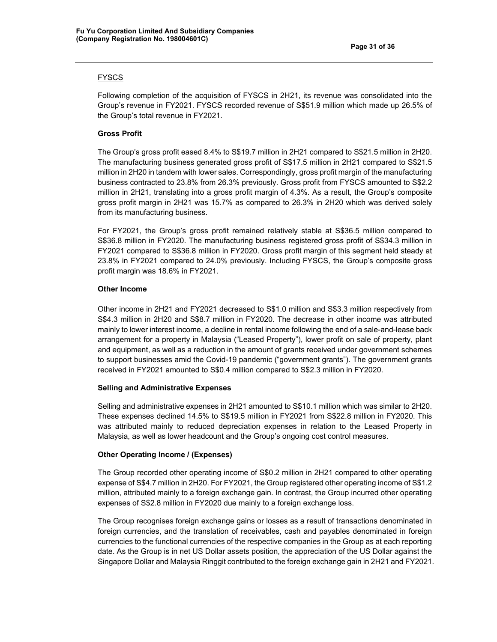# FYSCS

Following completion of the acquisition of FYSCS in 2H21, its revenue was consolidated into the Group's revenue in FY2021. FYSCS recorded revenue of S\$51.9 million which made up 26.5% of the Group's total revenue in FY2021.

# **Gross Profit**

The Group's gross profit eased 8.4% to S\$19.7 million in 2H21 compared to S\$21.5 million in 2H20. The manufacturing business generated gross profit of S\$17.5 million in 2H21 compared to S\$21.5 million in 2H20 in tandem with lower sales. Correspondingly, gross profit margin of the manufacturing business contracted to 23.8% from 26.3% previously. Gross profit from FYSCS amounted to S\$2.2 million in 2H21, translating into a gross profit margin of 4.3%. As a result, the Group's composite gross profit margin in 2H21 was 15.7% as compared to 26.3% in 2H20 which was derived solely from its manufacturing business.

For FY2021, the Group's gross profit remained relatively stable at S\$36.5 million compared to S\$36.8 million in FY2020. The manufacturing business registered gross profit of S\$34.3 million in FY2021 compared to S\$36.8 million in FY2020. Gross profit margin of this segment held steady at 23.8% in FY2021 compared to 24.0% previously. Including FYSCS, the Group's composite gross profit margin was 18.6% in FY2021.

## **Other Income**

Other income in 2H21 and FY2021 decreased to S\$1.0 million and S\$3.3 million respectively from S\$4.3 million in 2H20 and S\$8.7 million in FY2020. The decrease in other income was attributed mainly to lower interest income, a decline in rental income following the end of a sale-and-lease back arrangement for a property in Malaysia ("Leased Property"), lower profit on sale of property, plant and equipment, as well as a reduction in the amount of grants received under government schemes to support businesses amid the Covid-19 pandemic ("government grants"). The government grants received in FY2021 amounted to S\$0.4 million compared to S\$2.3 million in FY2020.

### **Selling and Administrative Expenses**

Selling and administrative expenses in 2H21 amounted to S\$10.1 million which was similar to 2H20. These expenses declined 14.5% to S\$19.5 million in FY2021 from S\$22.8 million in FY2020. This was attributed mainly to reduced depreciation expenses in relation to the Leased Property in Malaysia, as well as lower headcount and the Group's ongoing cost control measures.

### **Other Operating Income / (Expenses)**

The Group recorded other operating income of S\$0.2 million in 2H21 compared to other operating expense of S\$4.7 million in 2H20. For FY2021, the Group registered other operating income of S\$1.2 million, attributed mainly to a foreign exchange gain. In contrast, the Group incurred other operating expenses of S\$2.8 million in FY2020 due mainly to a foreign exchange loss.

The Group recognises foreign exchange gains or losses as a result of transactions denominated in foreign currencies, and the translation of receivables, cash and payables denominated in foreign currencies to the functional currencies of the respective companies in the Group as at each reporting date. As the Group is in net US Dollar assets position, the appreciation of the US Dollar against the Singapore Dollar and Malaysia Ringgit contributed to the foreign exchange gain in 2H21 and FY2021.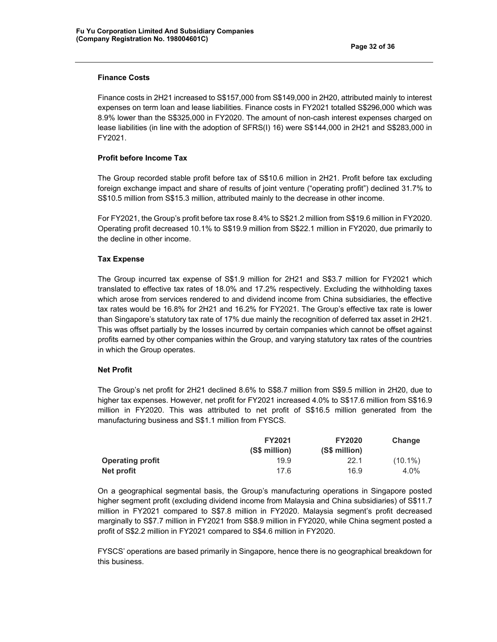## **Finance Costs**

Finance costs in 2H21 increased to S\$157,000 from S\$149,000 in 2H20, attributed mainly to interest expenses on term loan and lease liabilities. Finance costs in FY2021 totalled S\$296,000 which was 8.9% lower than the S\$325,000 in FY2020. The amount of non-cash interest expenses charged on lease liabilities (in line with the adoption of SFRS(I) 16) were S\$144,000 in 2H21 and S\$283,000 in FY2021.

# **Profit before Income Tax**

The Group recorded stable profit before tax of S\$10.6 million in 2H21. Profit before tax excluding foreign exchange impact and share of results of joint venture ("operating profit") declined 31.7% to S\$10.5 million from S\$15.3 million, attributed mainly to the decrease in other income.

For FY2021, the Group's profit before tax rose 8.4% to S\$21.2 million from S\$19.6 million in FY2020. Operating profit decreased 10.1% to S\$19.9 million from S\$22.1 million in FY2020, due primarily to the decline in other income.

# **Tax Expense**

The Group incurred tax expense of S\$1.9 million for 2H21 and S\$3.7 million for FY2021 which translated to effective tax rates of 18.0% and 17.2% respectively. Excluding the withholding taxes which arose from services rendered to and dividend income from China subsidiaries, the effective tax rates would be 16.8% for 2H21 and 16.2% for FY2021. The Group's effective tax rate is lower than Singapore's statutory tax rate of 17% due mainly the recognition of deferred tax asset in 2H21. This was offset partially by the losses incurred by certain companies which cannot be offset against profits earned by other companies within the Group, and varying statutory tax rates of the countries in which the Group operates.

### **Net Profit**

The Group's net profit for 2H21 declined 8.6% to S\$8.7 million from S\$9.5 million in 2H20, due to higher tax expenses. However, net profit for FY2021 increased 4.0% to S\$17.6 million from S\$16.9 million in FY2020. This was attributed to net profit of S\$16.5 million generated from the manufacturing business and S\$1.1 million from FYSCS.

|                         | <b>FY2021</b> | <b>FY2020</b> | Change     |
|-------------------------|---------------|---------------|------------|
|                         | (S\$ million) | (S\$ million) |            |
| <b>Operating profit</b> | 19.9          | 22.1          | $(10.1\%)$ |
| Net profit              | 17.6          | 16.9          | 4.0%       |

On a geographical segmental basis, the Group's manufacturing operations in Singapore posted higher segment profit (excluding dividend income from Malaysia and China subsidiaries) of S\$11.7 million in FY2021 compared to S\$7.8 million in FY2020. Malaysia segment's profit decreased marginally to S\$7.7 million in FY2021 from S\$8.9 million in FY2020, while China segment posted a profit of S\$2.2 million in FY2021 compared to S\$4.6 million in FY2020.

FYSCS' operations are based primarily in Singapore, hence there is no geographical breakdown for this business.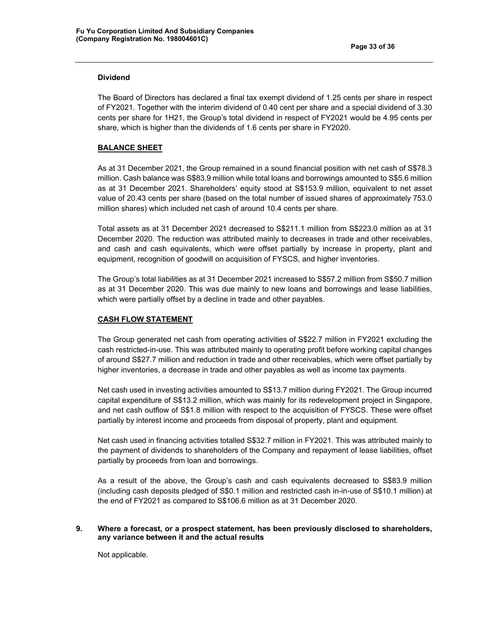# **Dividend**

The Board of Directors has declared a final tax exempt dividend of 1.25 cents per share in respect of FY2021. Together with the interim dividend of 0.40 cent per share and a special dividend of 3.30 cents per share for 1H21, the Group's total dividend in respect of FY2021 would be 4.95 cents per share, which is higher than the dividends of 1.6 cents per share in FY2020.

### **BALANCE SHEET**

As at 31 December 2021, the Group remained in a sound financial position with net cash of S\$78.3 million. Cash balance was S\$83.9 million while total loans and borrowings amounted to S\$5.6 million as at 31 December 2021. Shareholders' equity stood at S\$153.9 million, equivalent to net asset value of 20.43 cents per share (based on the total number of issued shares of approximately 753.0 million shares) which included net cash of around 10.4 cents per share.

Total assets as at 31 December 2021 decreased to S\$211.1 million from S\$223.0 million as at 31 December 2020. The reduction was attributed mainly to decreases in trade and other receivables, and cash and cash equivalents, which were offset partially by increase in property, plant and equipment, recognition of goodwill on acquisition of FYSCS, and higher inventories.

The Group's total liabilities as at 31 December 2021 increased to S\$57.2 million from S\$50.7 million as at 31 December 2020. This was due mainly to new loans and borrowings and lease liabilities, which were partially offset by a decline in trade and other payables.

#### **CASH FLOW STATEMENT**

The Group generated net cash from operating activities of S\$22.7 million in FY2021 excluding the cash restricted-in-use. This was attributed mainly to operating profit before working capital changes of around S\$27.7 million and reduction in trade and other receivables, which were offset partially by higher inventories, a decrease in trade and other payables as well as income tax payments.

Net cash used in investing activities amounted to S\$13.7 million during FY2021. The Group incurred capital expenditure of S\$13.2 million, which was mainly for its redevelopment project in Singapore, and net cash outflow of S\$1.8 million with respect to the acquisition of FYSCS. These were offset partially by interest income and proceeds from disposal of property, plant and equipment.

Net cash used in financing activities totalled S\$32.7 million in FY2021. This was attributed mainly to the payment of dividends to shareholders of the Company and repayment of lease liabilities, offset partially by proceeds from loan and borrowings.

As a result of the above, the Group's cash and cash equivalents decreased to S\$83.9 million (including cash deposits pledged of S\$0.1 million and restricted cash in-in-use of S\$10.1 million) at the end of FY2021 as compared to S\$106.6 million as at 31 December 2020.

### **9. Where a forecast, or a prospect statement, has been previously disclosed to shareholders, any variance between it and the actual results**

Not applicable.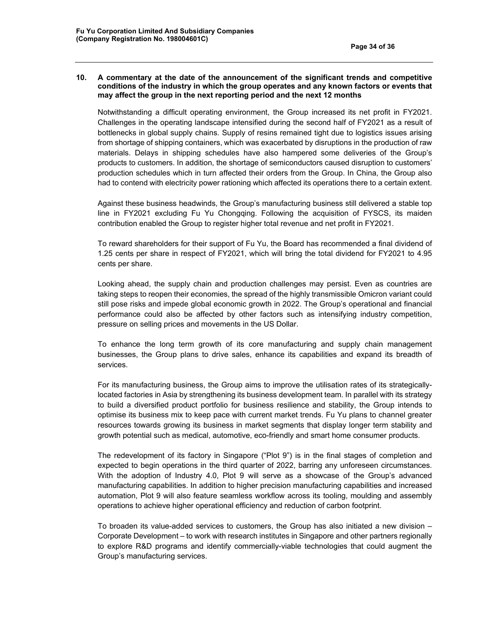### **10. A commentary at the date of the announcement of the significant trends and competitive conditions of the industry in which the group operates and any known factors or events that may affect the group in the next reporting period and the next 12 months**

Notwithstanding a difficult operating environment, the Group increased its net profit in FY2021. Challenges in the operating landscape intensified during the second half of FY2021 as a result of bottlenecks in global supply chains. Supply of resins remained tight due to logistics issues arising from shortage of shipping containers, which was exacerbated by disruptions in the production of raw materials. Delays in shipping schedules have also hampered some deliveries of the Group's products to customers. In addition, the shortage of semiconductors caused disruption to customers' production schedules which in turn affected their orders from the Group. In China, the Group also had to contend with electricity power rationing which affected its operations there to a certain extent.

Against these business headwinds, the Group's manufacturing business still delivered a stable top line in FY2021 excluding Fu Yu Chongqing. Following the acquisition of FYSCS, its maiden contribution enabled the Group to register higher total revenue and net profit in FY2021.

To reward shareholders for their support of Fu Yu, the Board has recommended a final dividend of 1.25 cents per share in respect of FY2021, which will bring the total dividend for FY2021 to 4.95 cents per share.

Looking ahead, the supply chain and production challenges may persist. Even as countries are taking steps to reopen their economies, the spread of the highly transmissible Omicron variant could still pose risks and impede global economic growth in 2022. The Group's operational and financial performance could also be affected by other factors such as intensifying industry competition, pressure on selling prices and movements in the US Dollar.

To enhance the long term growth of its core manufacturing and supply chain management businesses, the Group plans to drive sales, enhance its capabilities and expand its breadth of services.

For its manufacturing business, the Group aims to improve the utilisation rates of its strategicallylocated factories in Asia by strengthening its business development team. In parallel with its strategy to build a diversified product portfolio for business resilience and stability, the Group intends to optimise its business mix to keep pace with current market trends. Fu Yu plans to channel greater resources towards growing its business in market segments that display longer term stability and growth potential such as medical, automotive, eco-friendly and smart home consumer products.

The redevelopment of its factory in Singapore ("Plot 9") is in the final stages of completion and expected to begin operations in the third quarter of 2022, barring any unforeseen circumstances. With the adoption of Industry 4.0, Plot 9 will serve as a showcase of the Group's advanced manufacturing capabilities. In addition to higher precision manufacturing capabilities and increased automation, Plot 9 will also feature seamless workflow across its tooling, moulding and assembly operations to achieve higher operational efficiency and reduction of carbon footprint.

To broaden its value-added services to customers, the Group has also initiated a new division – Corporate Development – to work with research institutes in Singapore and other partners regionally to explore R&D programs and identify commercially-viable technologies that could augment the Group's manufacturing services.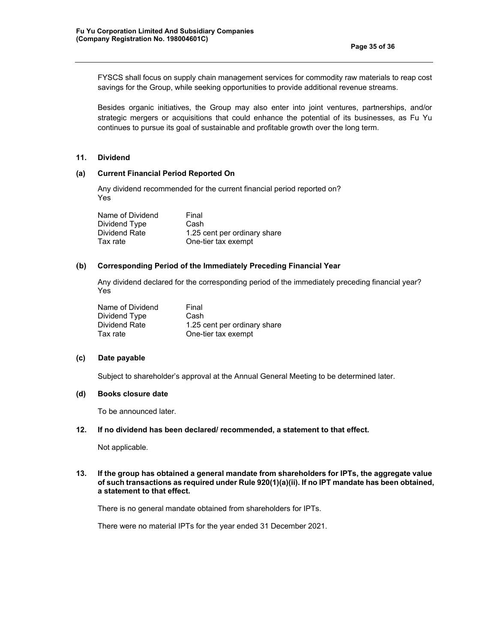FYSCS shall focus on supply chain management services for commodity raw materials to reap cost savings for the Group, while seeking opportunities to provide additional revenue streams.

Besides organic initiatives, the Group may also enter into joint ventures, partnerships, and/or strategic mergers or acquisitions that could enhance the potential of its businesses, as Fu Yu continues to pursue its goal of sustainable and profitable growth over the long term.

#### **11. Dividend**

## **(a) Current Financial Period Reported On**

Any dividend recommended for the current financial period reported on? Yes

Name of Dividend Final Dividend Type Cash Dividend Rate 1.25 cent per ordinary share Tax rate One-tier tax exempt

# **(b) Corresponding Period of the Immediately Preceding Financial Year**

Any dividend declared for the corresponding period of the immediately preceding financial year? Yes

| Name of Dividend | Final                        |
|------------------|------------------------------|
| Dividend Type    | Cash                         |
| Dividend Rate    | 1.25 cent per ordinary share |
| Tax rate         | One-tier tax exempt          |

#### **(c) Date payable**

Subject to shareholder's approval at the Annual General Meeting to be determined later.

#### **(d) Books closure date**

To be announced later.

#### **12. If no dividend has been declared/ recommended, a statement to that effect.**

Not applicable.

### **13. If the group has obtained a general mandate from shareholders for IPTs, the aggregate value of such transactions as required under Rule 920(1)(a)(ii). If no IPT mandate has been obtained, a statement to that effect.**

There is no general mandate obtained from shareholders for IPTs.

There were no material IPTs for the year ended 31 December 2021.